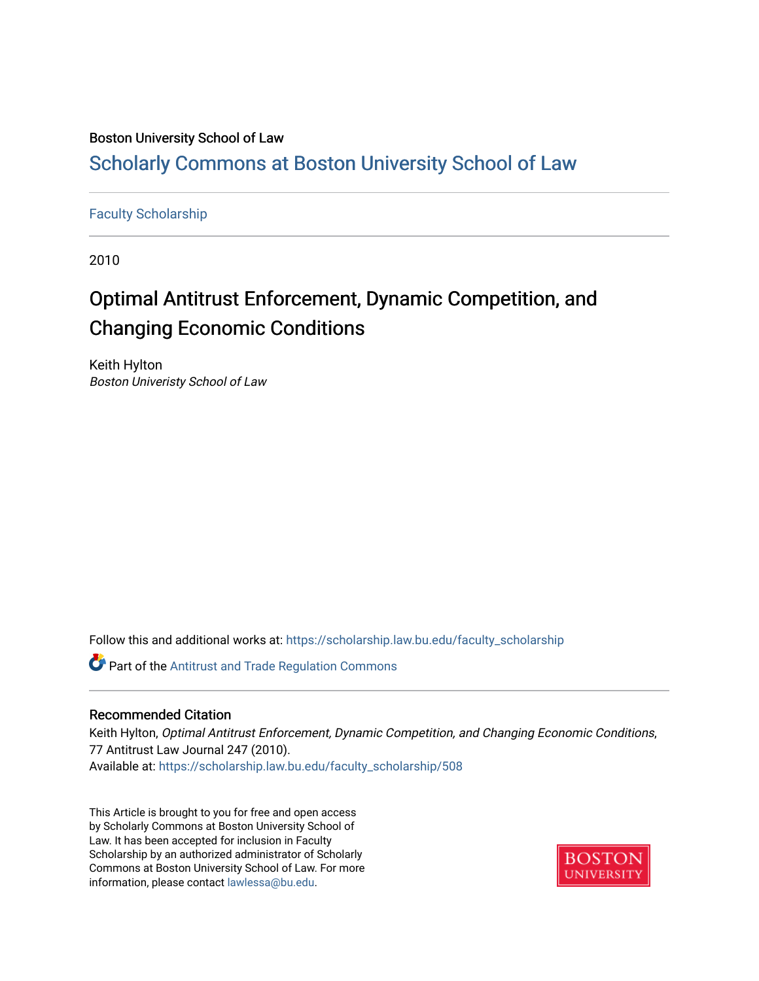## Boston University School of Law

# [Scholarly Commons at Boston University School of Law](https://scholarship.law.bu.edu/)

## [Faculty Scholarship](https://scholarship.law.bu.edu/faculty_scholarship)

2010

# Optimal Antitrust Enforcement, Dynamic Competition, and Changing Economic Conditions

Keith Hylton Boston Univeristy School of Law

Follow this and additional works at: [https://scholarship.law.bu.edu/faculty\\_scholarship](https://scholarship.law.bu.edu/faculty_scholarship?utm_source=scholarship.law.bu.edu%2Ffaculty_scholarship%2F508&utm_medium=PDF&utm_campaign=PDFCoverPages)

**Part of the Antitrust and Trade Regulation Commons** 

### Recommended Citation

Keith Hylton, Optimal Antitrust Enforcement, Dynamic Competition, and Changing Economic Conditions, 77 Antitrust Law Journal 247 (2010). Available at: [https://scholarship.law.bu.edu/faculty\\_scholarship/508](https://scholarship.law.bu.edu/faculty_scholarship/508?utm_source=scholarship.law.bu.edu%2Ffaculty_scholarship%2F508&utm_medium=PDF&utm_campaign=PDFCoverPages) 

This Article is brought to you for free and open access by Scholarly Commons at Boston University School of Law. It has been accepted for inclusion in Faculty Scholarship by an authorized administrator of Scholarly Commons at Boston University School of Law. For more information, please contact [lawlessa@bu.edu.](mailto:lawlessa@bu.edu)

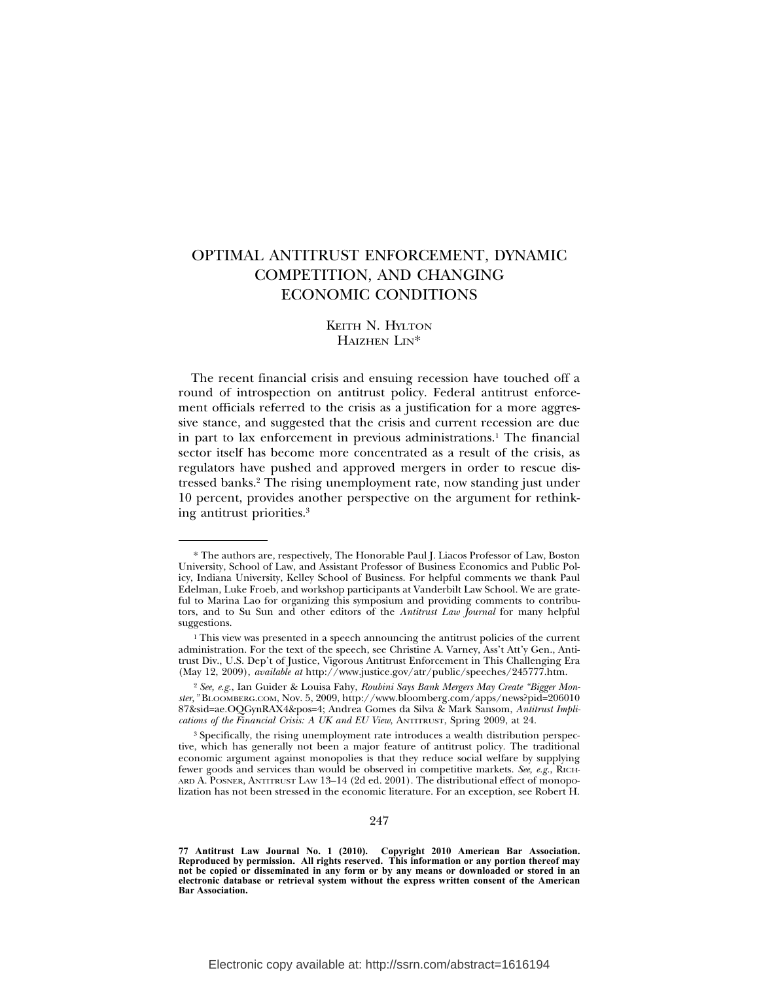## OPTIMAL ANTITRUST ENFORCEMENT, DYNAMIC COMPETITION, AND CHANGING ECONOMIC CONDITIONS

#### KEITH N. HYLTON HAIZHEN LIN\*

The recent financial crisis and ensuing recession have touched off a round of introspection on antitrust policy. Federal antitrust enforcement officials referred to the crisis as a justification for a more aggressive stance, and suggested that the crisis and current recession are due in part to lax enforcement in previous administrations.<sup>1</sup> The financial sector itself has become more concentrated as a result of the crisis, as regulators have pushed and approved mergers in order to rescue distressed banks.2 The rising unemployment rate, now standing just under 10 percent, provides another perspective on the argument for rethinking antitrust priorities.3

<sup>\*</sup> The authors are, respectively, The Honorable Paul J. Liacos Professor of Law, Boston University, School of Law, and Assistant Professor of Business Economics and Public Policy, Indiana University, Kelley School of Business. For helpful comments we thank Paul Edelman, Luke Froeb, and workshop participants at Vanderbilt Law School. We are grateful to Marina Lao for organizing this symposium and providing comments to contributors, and to Su Sun and other editors of the *Antitrust Law Journal* for many helpful suggestions.

 $1$ . This view was presented in a speech announcing the antitrust policies of the current administration. For the text of the speech, see Christine A. Varney, Ass't Att'y Gen., Antitrust Div., U.S. Dep't of Justice, Vigorous Antitrust Enforcement in This Challenging Era (May 12, 2009), *available at* http://www.justice.gov/atr/public/speeches/245777.htm.

<sup>2</sup> *See, e.g.*, Ian Guider & Louisa Fahy, *Roubini Says Bank Mergers May Create "Bigger Monster,"* BLOOMBERG.COM, Nov. 5, 2009, http://www.bloomberg.com/apps/news?pid=206010 87&sid=ae.OQGynRAX4&pos=4; Andrea Gomes da Silva & Mark Sansom, *Antitrust Implications of the Financial Crisis: A UK and EU View*, ANTITRUST, Spring 2009, at 24.

<sup>&</sup>lt;sup>3</sup> Specifically, the rising unemployment rate introduces a wealth distribution perspective, which has generally not been a major feature of antitrust policy. The traditional economic argument against monopolies is that they reduce social welfare by supplying fewer goods and services than would be observed in competitive markets. See, e.g., RICH-ARD A. POSNER, ANTITRUST LAW 13–14 (2d ed. 2001). The distributional effect of monopolization has not been stressed in the economic literature. For an exception, see Robert H.

**<sup>77</sup> Antitrust Law Journal No. 1 (2010). Copyright 2010 American Bar Association. Reproduced by permission. All rights reserved. This information or any portion thereof may not be copied or disseminated in any form or by any means or downloaded or stored in an electronic database or retrieval system without the express written consent of the American Bar Association.**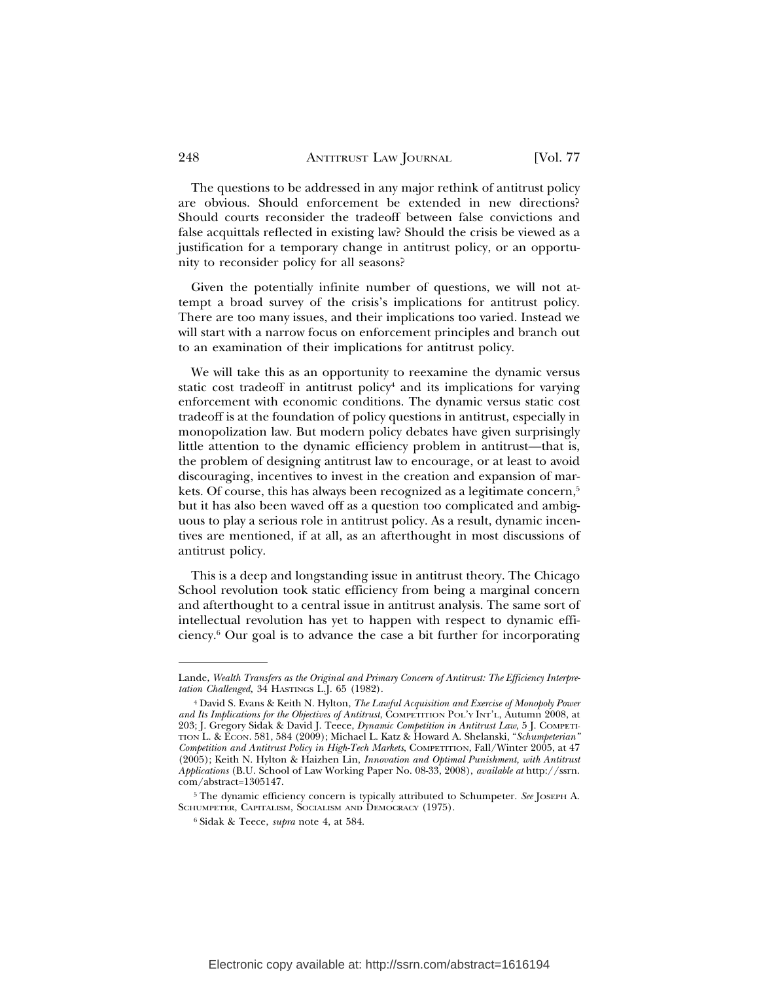The questions to be addressed in any major rethink of antitrust policy are obvious. Should enforcement be extended in new directions? Should courts reconsider the tradeoff between false convictions and false acquittals reflected in existing law? Should the crisis be viewed as a justification for a temporary change in antitrust policy, or an opportunity to reconsider policy for all seasons?

Given the potentially infinite number of questions, we will not attempt a broad survey of the crisis's implications for antitrust policy. There are too many issues, and their implications too varied. Instead we will start with a narrow focus on enforcement principles and branch out to an examination of their implications for antitrust policy.

We will take this as an opportunity to reexamine the dynamic versus static cost tradeoff in antitrust policy<sup>4</sup> and its implications for varying enforcement with economic conditions. The dynamic versus static cost tradeoff is at the foundation of policy questions in antitrust, especially in monopolization law. But modern policy debates have given surprisingly little attention to the dynamic efficiency problem in antitrust—that is, the problem of designing antitrust law to encourage, or at least to avoid discouraging, incentives to invest in the creation and expansion of markets. Of course, this has always been recognized as a legitimate concern,<sup>5</sup> but it has also been waved off as a question too complicated and ambiguous to play a serious role in antitrust policy. As a result, dynamic incentives are mentioned, if at all, as an afterthought in most discussions of antitrust policy.

This is a deep and longstanding issue in antitrust theory. The Chicago School revolution took static efficiency from being a marginal concern and afterthought to a central issue in antitrust analysis. The same sort of intellectual revolution has yet to happen with respect to dynamic efficiency.6 Our goal is to advance the case a bit further for incorporating

Lande, *Wealth Transfers as the Original and Primary Concern of Antitrust: The Efficiency Interpretation Challenged,* 34 HASTINGS L.J. 65 (1982).

<sup>4</sup> David S. Evans & Keith N. Hylton, *The Lawful Acquisition and Exercise of Monopoly Power and Its Implications for the Objectives of Antitrust*, COMPETITION POL'Y INT'L, Autumn 2008, at 203; J. Gregory Sidak & David J. Teece, *Dynamic Competition in Antitrust Law*, 5 J. COMPETI-TION L. & ECON. 581, 584 (2009); Michael L. Katz & Howard A. Shelanski, "*Schumpeterian" Competition and Antitrust Policy in High-Tech Markets*, COMPETITION, Fall/Winter 2005, at 47 (2005); Keith N. Hylton & Haizhen Lin, *Innovation and Optimal Punishment, with Antitrust Applications* (B.U. School of Law Working Paper No. 08-33, 2008), *available at* http://ssrn. com/abstract=1305147.

<sup>5</sup> The dynamic efficiency concern is typically attributed to Schumpeter. *See* JOSEPH A. SCHUMPETER, CAPITALISM, SOCIALISM AND DEMOCRACY (1975).

<sup>6</sup> Sidak & Teece, *supra* note 4, at 584.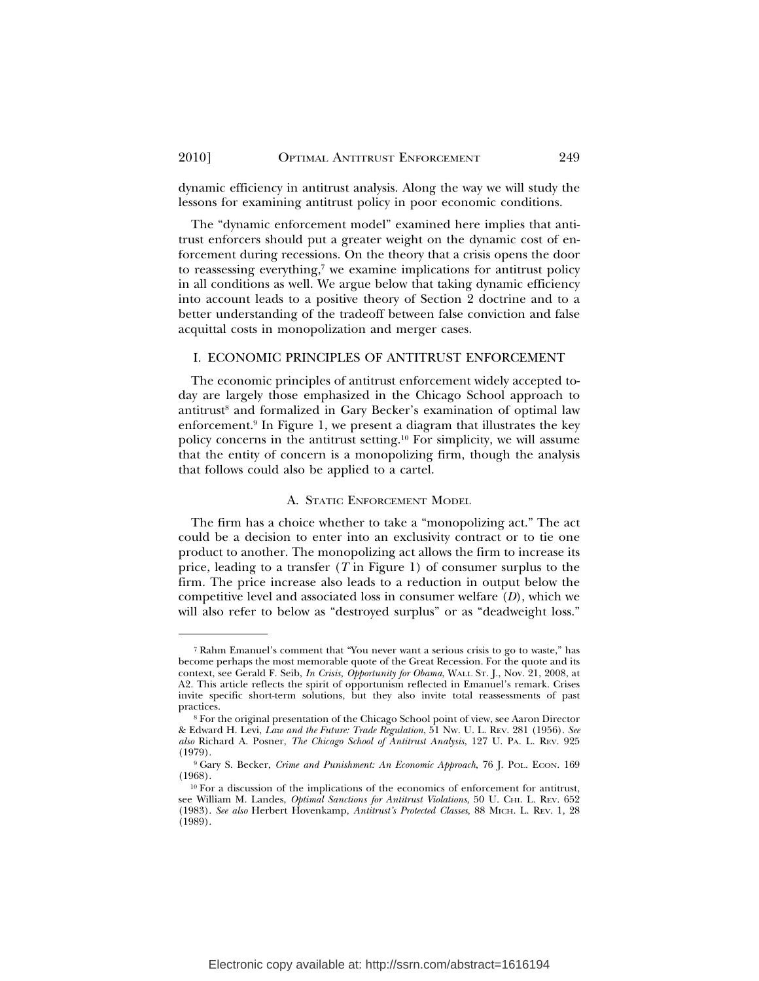dynamic efficiency in antitrust analysis. Along the way we will study the lessons for examining antitrust policy in poor economic conditions.

The "dynamic enforcement model" examined here implies that antitrust enforcers should put a greater weight on the dynamic cost of enforcement during recessions. On the theory that a crisis opens the door to reassessing everything, $\bar{z}$  we examine implications for antitrust policy in all conditions as well. We argue below that taking dynamic efficiency into account leads to a positive theory of Section 2 doctrine and to a better understanding of the tradeoff between false conviction and false acquittal costs in monopolization and merger cases.

#### I. ECONOMIC PRINCIPLES OF ANTITRUST ENFORCEMENT

The economic principles of antitrust enforcement widely accepted today are largely those emphasized in the Chicago School approach to antitrust<sup>8</sup> and formalized in Gary Becker's examination of optimal law enforcement.9 In Figure 1, we present a diagram that illustrates the key policy concerns in the antitrust setting.10 For simplicity, we will assume that the entity of concern is a monopolizing firm, though the analysis that follows could also be applied to a cartel.

#### A. STATIC ENFORCEMENT MODEL

The firm has a choice whether to take a "monopolizing act." The act could be a decision to enter into an exclusivity contract or to tie one product to another. The monopolizing act allows the firm to increase its price, leading to a transfer (*T* in Figure 1) of consumer surplus to the firm. The price increase also leads to a reduction in output below the competitive level and associated loss in consumer welfare (*D*), which we will also refer to below as "destroyed surplus" or as "deadweight loss."

<sup>7</sup> Rahm Emanuel's comment that "You never want a serious crisis to go to waste," has become perhaps the most memorable quote of the Great Recession. For the quote and its context, see Gerald F. Seib, *In Crisis, Opportunity for Obama*, WALL ST. J., Nov. 21, 2008, at A2. This article reflects the spirit of opportunism reflected in Emanuel's remark. Crises invite specific short-term solutions, but they also invite total reassessments of past practices.

<sup>8</sup> For the original presentation of the Chicago School point of view, see Aaron Director & Edward H. Levi, *Law and the Future: Trade Regulation*, 51 NW. U. L. REV. 281 (1956). *See also* Richard A. Posner, *The Chicago School of Antitrust Analysis*, 127 U. PA. L. REV. 925 (1979).

<sup>9</sup> Gary S. Becker, *Crime and Punishment: An Economic Approach*, 76 J. POL. ECON. 169 (1968).

<sup>10</sup> For a discussion of the implications of the economics of enforcement for antitrust, see William M. Landes, *Optimal Sanctions for Antitrust Violations*, 50 U. CHI. L. REV. 652 (1983). *See also* Herbert Hovenkamp, *Antitrust's Protected Classes*, 88 MICH. L. REV. 1, 28 (1989).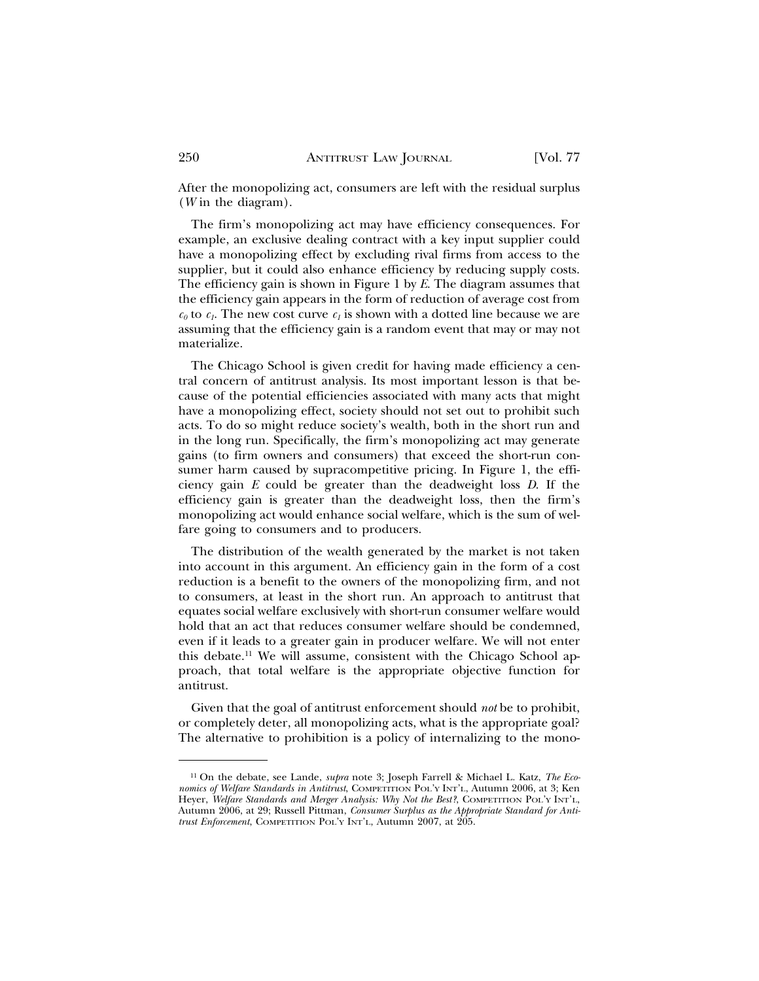After the monopolizing act, consumers are left with the residual surplus (*W* in the diagram).

The firm's monopolizing act may have efficiency consequences. For example, an exclusive dealing contract with a key input supplier could have a monopolizing effect by excluding rival firms from access to the supplier, but it could also enhance efficiency by reducing supply costs. The efficiency gain is shown in Figure 1 by *E*. The diagram assumes that the efficiency gain appears in the form of reduction of average cost from  $c_0$  to  $c_1$ . The new cost curve  $c_1$  is shown with a dotted line because we are assuming that the efficiency gain is a random event that may or may not materialize.

The Chicago School is given credit for having made efficiency a central concern of antitrust analysis. Its most important lesson is that because of the potential efficiencies associated with many acts that might have a monopolizing effect, society should not set out to prohibit such acts. To do so might reduce society's wealth, both in the short run and in the long run. Specifically, the firm's monopolizing act may generate gains (to firm owners and consumers) that exceed the short-run consumer harm caused by supracompetitive pricing. In Figure 1, the efficiency gain *E* could be greater than the deadweight loss *D*. If the efficiency gain is greater than the deadweight loss, then the firm's monopolizing act would enhance social welfare, which is the sum of welfare going to consumers and to producers.

The distribution of the wealth generated by the market is not taken into account in this argument. An efficiency gain in the form of a cost reduction is a benefit to the owners of the monopolizing firm, and not to consumers, at least in the short run. An approach to antitrust that equates social welfare exclusively with short-run consumer welfare would hold that an act that reduces consumer welfare should be condemned, even if it leads to a greater gain in producer welfare. We will not enter this debate.11 We will assume, consistent with the Chicago School approach, that total welfare is the appropriate objective function for antitrust.

Given that the goal of antitrust enforcement should *not* be to prohibit, or completely deter, all monopolizing acts, what is the appropriate goal? The alternative to prohibition is a policy of internalizing to the mono-

<sup>11</sup> On the debate, see Lande, *supra* note 3; Joseph Farrell & Michael L. Katz, *The Economics of Welfare Standards in Antitrust*, COMPETITION POL'Y INT'L, Autumn 2006, at 3; Ken Heyer, *Welfare Standards and Merger Analysis: Why Not the Best?*, COMPETITION POL'Y INT'L, Autumn 2006, at 29; Russell Pittman, *Consumer Surplus as the Appropriate Standard for Antitrust Enforcement*, COMPETITION POL'Y INT'L, Autumn 2007, at 205.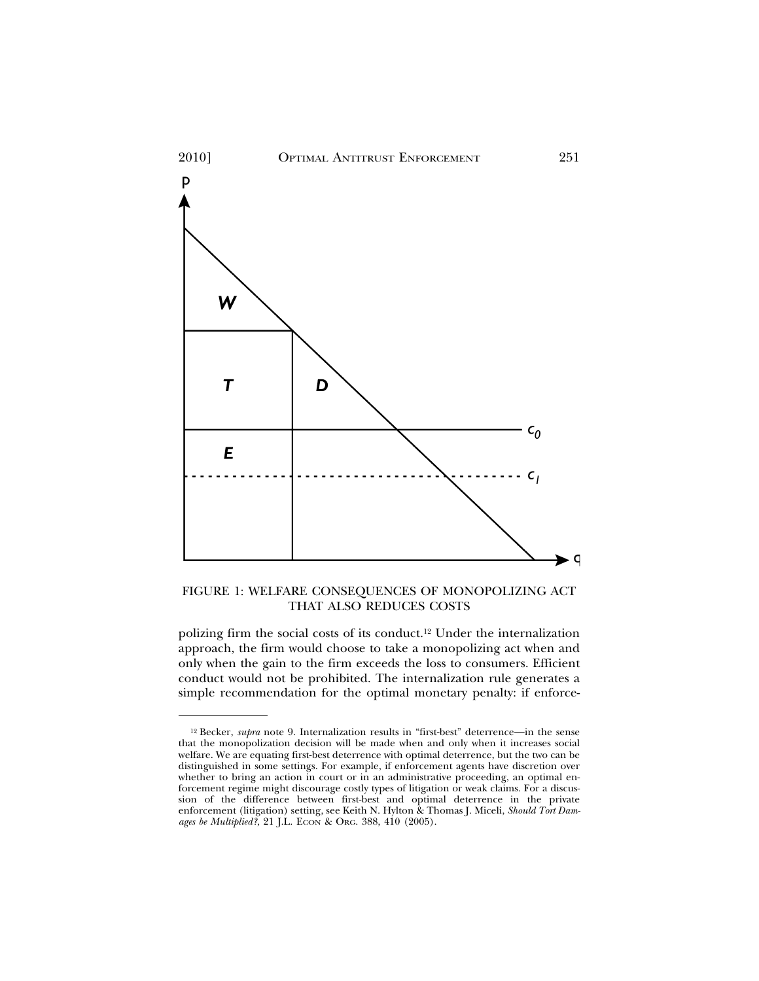

FIGURE 1: WELFARE CONSEQUENCES OF MONOPOLIZING ACT THAT ALSO REDUCES COSTS

polizing firm the social costs of its conduct.12 Under the internalization approach, the firm would choose to take a monopolizing act when and only when the gain to the firm exceeds the loss to consumers. Efficient conduct would not be prohibited. The internalization rule generates a simple recommendation for the optimal monetary penalty: if enforce-

<sup>12</sup> Becker, *supra* note 9. Internalization results in "first-best" deterrence—in the sense that the monopolization decision will be made when and only when it increases social welfare. We are equating first-best deterrence with optimal deterrence, but the two can be distinguished in some settings. For example, if enforcement agents have discretion over whether to bring an action in court or in an administrative proceeding, an optimal enforcement regime might discourage costly types of litigation or weak claims. For a discussion of the difference between first-best and optimal deterrence in the private enforcement (litigation) setting, see Keith N. Hylton & Thomas J. Miceli, *Should Tort Damages be Multiplied?*, 21 J.L. ECON & ORG. 388, 410 (2005).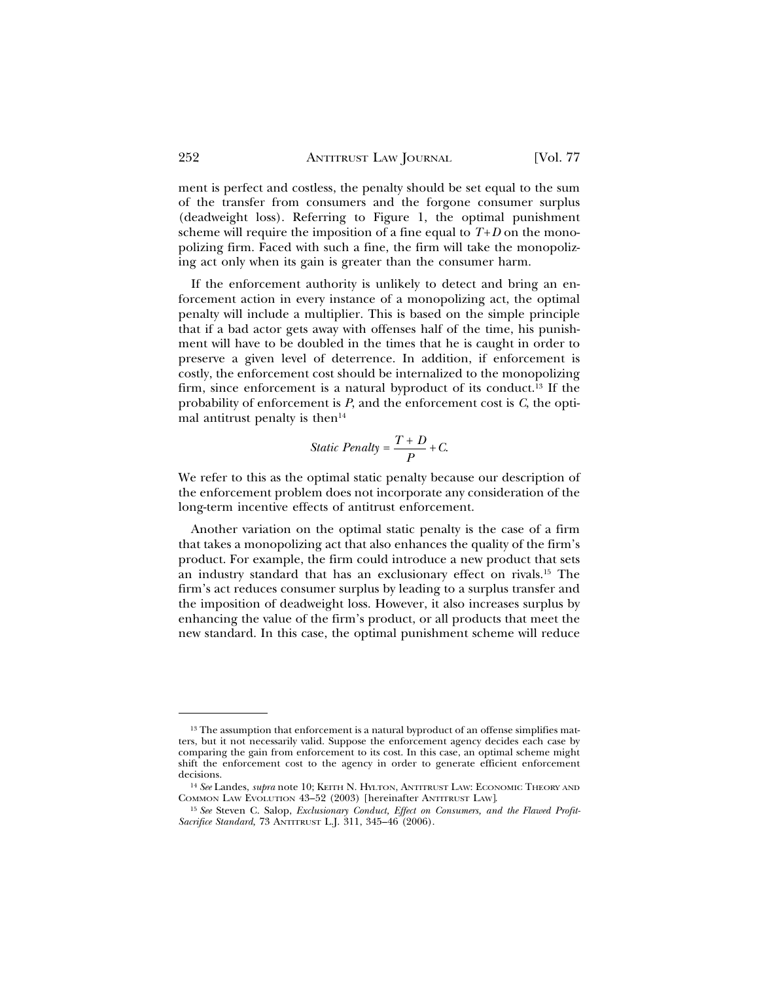ment is perfect and costless, the penalty should be set equal to the sum of the transfer from consumers and the forgone consumer surplus (deadweight loss). Referring to Figure 1, the optimal punishment scheme will require the imposition of a fine equal to  $T+D$  on the monopolizing firm. Faced with such a fine, the firm will take the monopolizing act only when its gain is greater than the consumer harm.

If the enforcement authority is unlikely to detect and bring an enforcement action in every instance of a monopolizing act, the optimal penalty will include a multiplier. This is based on the simple principle that if a bad actor gets away with offenses half of the time, his punishment will have to be doubled in the times that he is caught in order to preserve a given level of deterrence. In addition, if enforcement is costly, the enforcement cost should be internalized to the monopolizing firm, since enforcement is a natural byproduct of its conduct.13 If the probability of enforcement is *P*, and the enforcement cost is *C*, the optimal antitrust penalty is then $14$ 

$$
Static\,\,Penalty = \frac{T+D}{P} + C.
$$

We refer to this as the optimal static penalty because our description of the enforcement problem does not incorporate any consideration of the long-term incentive effects of antitrust enforcement.

Another variation on the optimal static penalty is the case of a firm that takes a monopolizing act that also enhances the quality of the firm's product. For example, the firm could introduce a new product that sets an industry standard that has an exclusionary effect on rivals.15 The firm's act reduces consumer surplus by leading to a surplus transfer and the imposition of deadweight loss. However, it also increases surplus by enhancing the value of the firm's product, or all products that meet the new standard. In this case, the optimal punishment scheme will reduce

<sup>&</sup>lt;sup>13</sup> The assumption that enforcement is a natural byproduct of an offense simplifies matters, but it not necessarily valid. Suppose the enforcement agency decides each case by comparing the gain from enforcement to its cost. In this case, an optimal scheme might shift the enforcement cost to the agency in order to generate efficient enforcement decisions.

<sup>14</sup> *See* Landes, *supra* note 10; KEITH N. HYLTON, ANTITRUST LAW: ECONOMIC THEORY AND COMMON LAW EVOLUTION 43–52 (2003) [hereinafter ANTITRUST LAW].

<sup>15</sup> *See* Steven C. Salop, *Exclusionary Conduct, Effect on Consumers, and the Flawed Profit-Sacrifice Standard,* 73 ANTITRUST L.J. 311, 345–46 (2006).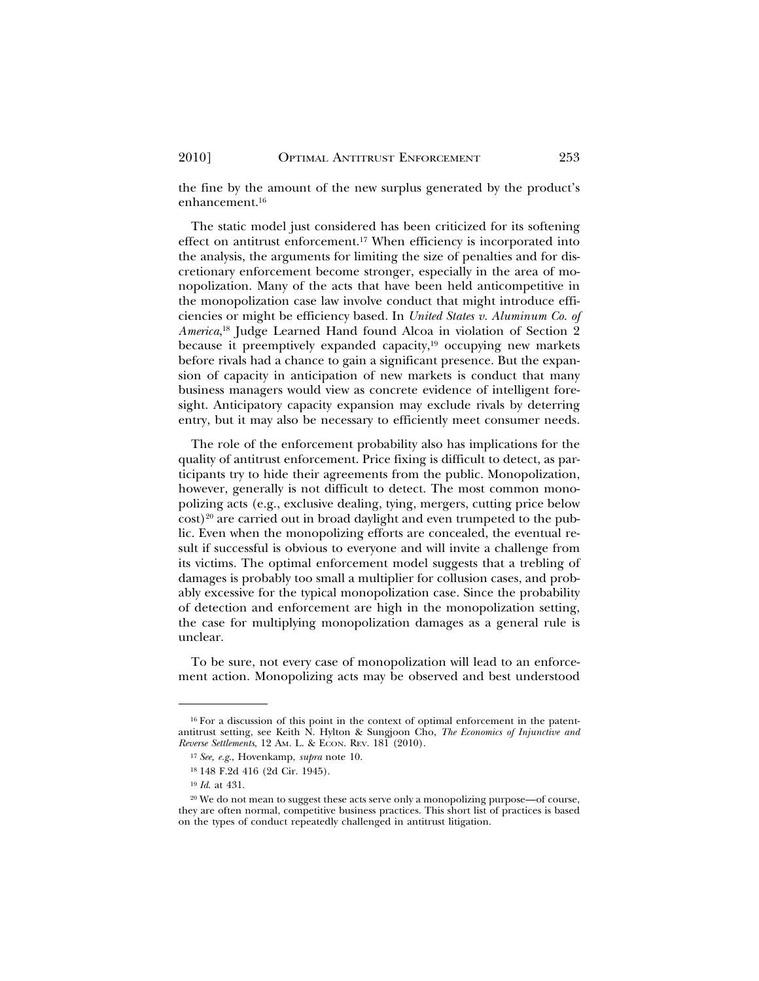the fine by the amount of the new surplus generated by the product's enhancement.16

The static model just considered has been criticized for its softening effect on antitrust enforcement.17 When efficiency is incorporated into the analysis, the arguments for limiting the size of penalties and for discretionary enforcement become stronger, especially in the area of monopolization. Many of the acts that have been held anticompetitive in the monopolization case law involve conduct that might introduce efficiencies or might be efficiency based. In *United States v. Aluminum Co. of America*, 18 Judge Learned Hand found Alcoa in violation of Section 2 because it preemptively expanded capacity, $19$  occupying new markets before rivals had a chance to gain a significant presence. But the expansion of capacity in anticipation of new markets is conduct that many business managers would view as concrete evidence of intelligent foresight. Anticipatory capacity expansion may exclude rivals by deterring entry, but it may also be necessary to efficiently meet consumer needs.

The role of the enforcement probability also has implications for the quality of antitrust enforcement. Price fixing is difficult to detect, as participants try to hide their agreements from the public. Monopolization, however, generally is not difficult to detect. The most common monopolizing acts (e.g., exclusive dealing, tying, mergers, cutting price below  $\cosh^{20}$  are carried out in broad daylight and even trumpeted to the public. Even when the monopolizing efforts are concealed, the eventual result if successful is obvious to everyone and will invite a challenge from its victims. The optimal enforcement model suggests that a trebling of damages is probably too small a multiplier for collusion cases, and probably excessive for the typical monopolization case. Since the probability of detection and enforcement are high in the monopolization setting, the case for multiplying monopolization damages as a general rule is unclear.

To be sure, not every case of monopolization will lead to an enforcement action. Monopolizing acts may be observed and best understood

<sup>&</sup>lt;sup>16</sup> For a discussion of this point in the context of optimal enforcement in the patentantitrust setting, see Keith N. Hylton & Sungjoon Cho, *The Economics of Injunctive and Reverse Settlements*, 12 Am. L. & ECON. REV. 181 (2010).

<sup>17</sup> *See, e.g*., Hovenkamp, *supra* note 10.

<sup>18</sup> 148 F.2d 416 (2d Cir. 1945).

<sup>19</sup> *Id*. at 431.

<sup>&</sup>lt;sup>20</sup> We do not mean to suggest these acts serve only a monopolizing purpose—of course, they are often normal, competitive business practices. This short list of practices is based on the types of conduct repeatedly challenged in antitrust litigation.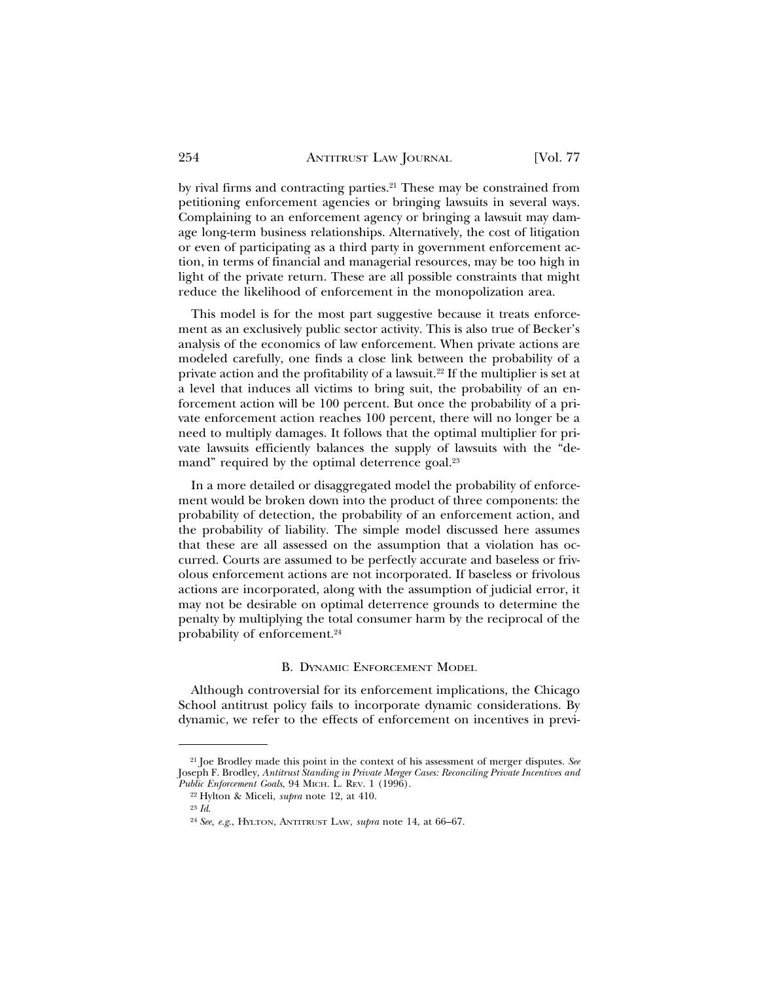by rival firms and contracting parties.21 These may be constrained from petitioning enforcement agencies or bringing lawsuits in several ways. Complaining to an enforcement agency or bringing a lawsuit may damage long-term business relationships. Alternatively, the cost of litigation or even of participating as a third party in government enforcement action, in terms of financial and managerial resources, may be too high in light of the private return. These are all possible constraints that might reduce the likelihood of enforcement in the monopolization area.

This model is for the most part suggestive because it treats enforcement as an exclusively public sector activity. This is also true of Becker's analysis of the economics of law enforcement. When private actions are modeled carefully, one finds a close link between the probability of a private action and the profitability of a lawsuit.<sup>22</sup> If the multiplier is set at a level that induces all victims to bring suit, the probability of an enforcement action will be 100 percent. But once the probability of a private enforcement action reaches 100 percent, there will no longer be a need to multiply damages. It follows that the optimal multiplier for private lawsuits efficiently balances the supply of lawsuits with the "demand" required by the optimal deterrence goal.<sup>23</sup>

In a more detailed or disaggregated model the probability of enforcement would be broken down into the product of three components: the probability of detection, the probability of an enforcement action, and the probability of liability. The simple model discussed here assumes that these are all assessed on the assumption that a violation has occurred. Courts are assumed to be perfectly accurate and baseless or frivolous enforcement actions are not incorporated. If baseless or frivolous actions are incorporated, along with the assumption of judicial error, it may not be desirable on optimal deterrence grounds to determine the penalty by multiplying the total consumer harm by the reciprocal of the probability of enforcement.<sup>24</sup>

#### B. DYNAMIC ENFORCEMENT MODEL

Although controversial for its enforcement implications, the Chicago School antitrust policy fails to incorporate dynamic considerations. By dynamic, we refer to the effects of enforcement on incentives in previ-

<sup>21</sup> Joe Brodley made this point in the context of his assessment of merger disputes. *See* Joseph F. Brodley, *Antitrust Standing in Private Merger Cases: Reconciling Private Incentives and Public Enforcement Goals*, 94 MICH. L. REV. 1 (1996).

<sup>22</sup> Hylton & Miceli, *supra* note 12, at 410.

<sup>23</sup> *Id*.

<sup>24</sup> *See, e.g*., HYLTON, ANTITRUST LAW, *supra* note 14, at 66–67.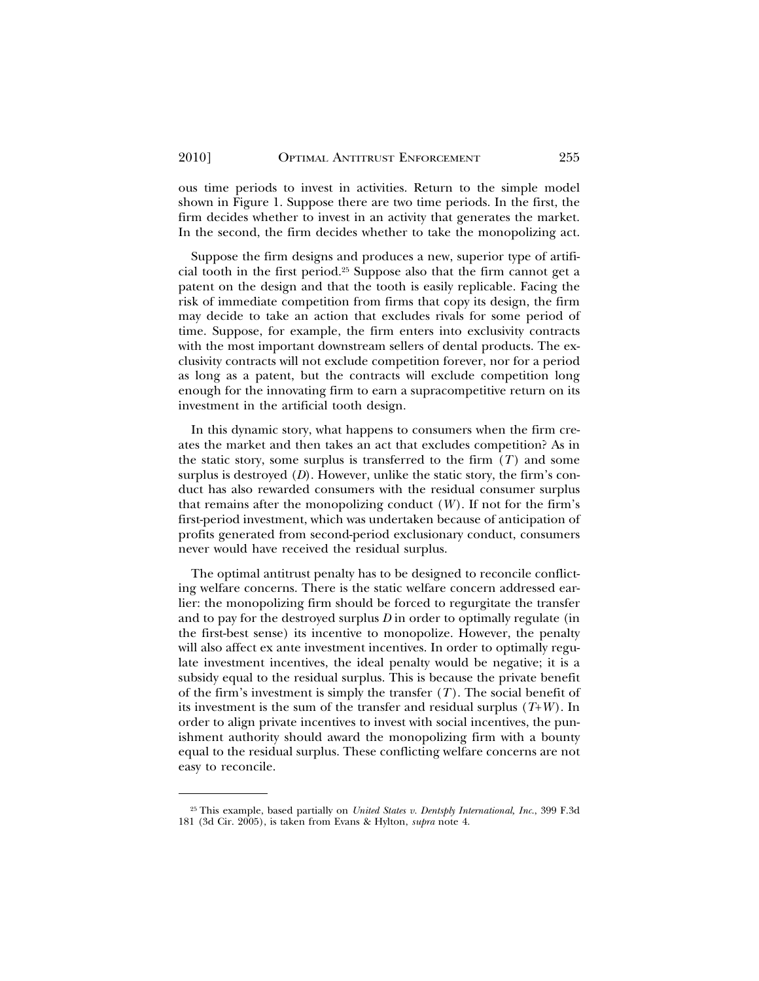ous time periods to invest in activities. Return to the simple model shown in Figure 1. Suppose there are two time periods. In the first, the firm decides whether to invest in an activity that generates the market. In the second, the firm decides whether to take the monopolizing act.

Suppose the firm designs and produces a new, superior type of artificial tooth in the first period.25 Suppose also that the firm cannot get a patent on the design and that the tooth is easily replicable. Facing the risk of immediate competition from firms that copy its design, the firm may decide to take an action that excludes rivals for some period of time. Suppose, for example, the firm enters into exclusivity contracts with the most important downstream sellers of dental products. The exclusivity contracts will not exclude competition forever, nor for a period as long as a patent, but the contracts will exclude competition long enough for the innovating firm to earn a supracompetitive return on its investment in the artificial tooth design.

In this dynamic story, what happens to consumers when the firm creates the market and then takes an act that excludes competition? As in the static story, some surplus is transferred to the firm  $(T)$  and some surplus is destroyed (*D*). However, unlike the static story, the firm's conduct has also rewarded consumers with the residual consumer surplus that remains after the monopolizing conduct  $(W)$ . If not for the firm's first-period investment, which was undertaken because of anticipation of profits generated from second-period exclusionary conduct, consumers never would have received the residual surplus.

The optimal antitrust penalty has to be designed to reconcile conflicting welfare concerns. There is the static welfare concern addressed earlier: the monopolizing firm should be forced to regurgitate the transfer and to pay for the destroyed surplus *D* in order to optimally regulate (in the first-best sense) its incentive to monopolize. However, the penalty will also affect ex ante investment incentives. In order to optimally regulate investment incentives, the ideal penalty would be negative; it is a subsidy equal to the residual surplus. This is because the private benefit of the firm's investment is simply the transfer (*T*). The social benefit of its investment is the sum of the transfer and residual surplus (*T*+*W* ). In order to align private incentives to invest with social incentives, the punishment authority should award the monopolizing firm with a bounty equal to the residual surplus. These conflicting welfare concerns are not easy to reconcile.

<sup>25</sup> This example, based partially on *United States v. Dentsply International, Inc*., 399 F.3d 181 (3d Cir. 2005), is taken from Evans & Hylton, *supra* note 4.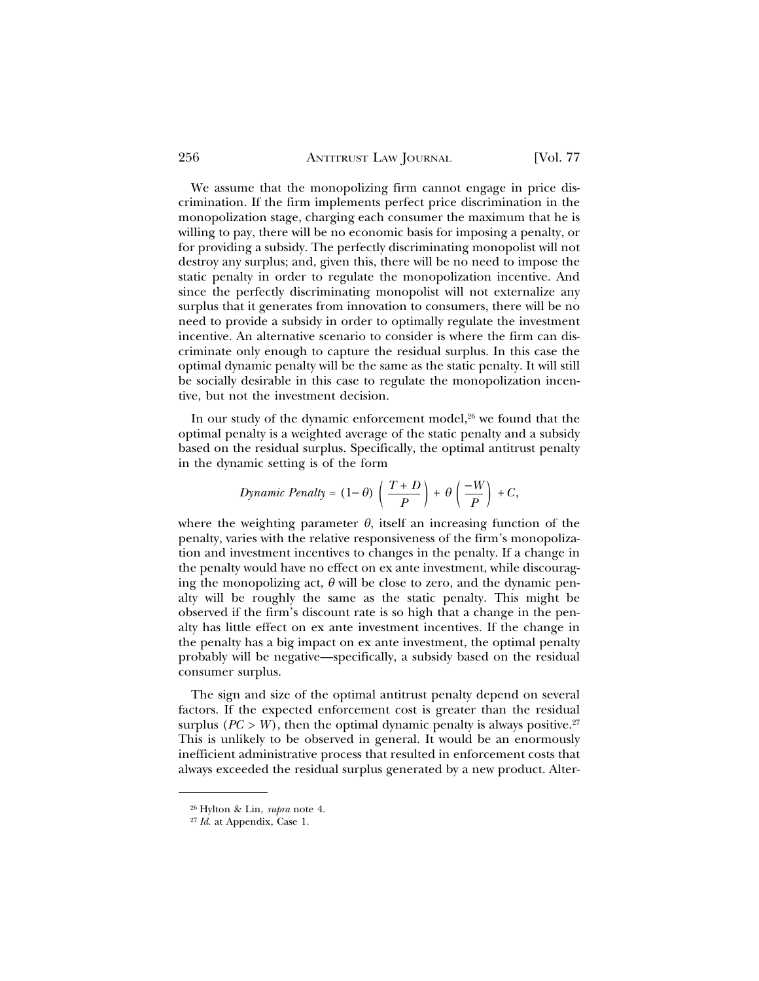#### 256 ANTITRUST LAW JOURNAL [Vol. 77

We assume that the monopolizing firm cannot engage in price discrimination. If the firm implements perfect price discrimination in the monopolization stage, charging each consumer the maximum that he is willing to pay, there will be no economic basis for imposing a penalty, or for providing a subsidy. The perfectly discriminating monopolist will not destroy any surplus; and, given this, there will be no need to impose the static penalty in order to regulate the monopolization incentive. And since the perfectly discriminating monopolist will not externalize any surplus that it generates from innovation to consumers, there will be no need to provide a subsidy in order to optimally regulate the investment incentive. An alternative scenario to consider is where the firm can discriminate only enough to capture the residual surplus. In this case the optimal dynamic penalty will be the same as the static penalty. It will still be socially desirable in this case to regulate the monopolization incentive, but not the investment decision.

In our study of the dynamic enforcement model,<sup>26</sup> we found that the optimal penalty is a weighted average of the static penalty and a subsidy based on the residual surplus. Specifically, the optimal antitrust penalty in the dynamic setting is of the form

$$
Dynamic\,\,Penalty = (1 - \theta)\,\left(\frac{T+D}{P}\right) + \theta\left(\frac{-W}{P}\right) + C,
$$

where the weighting parameter  $\theta$ , itself an increasing function of the penalty, varies with the relative responsiveness of the firm's monopolization and investment incentives to changes in the penalty. If a change in the penalty would have no effect on ex ante investment, while discouraging the monopolizing act,  $\theta$  will be close to zero, and the dynamic penalty will be roughly the same as the static penalty. This might be observed if the firm's discount rate is so high that a change in the penalty has little effect on ex ante investment incentives. If the change in the penalty has a big impact on ex ante investment, the optimal penalty probably will be negative—specifically, a subsidy based on the residual consumer surplus.

The sign and size of the optimal antitrust penalty depend on several factors. If the expected enforcement cost is greater than the residual surplus ( $PC > W$ ), then the optimal dynamic penalty is always positive.<sup>27</sup> This is unlikely to be observed in general. It would be an enormously inefficient administrative process that resulted in enforcement costs that always exceeded the residual surplus generated by a new product. Alter-

<sup>26</sup> Hylton & Lin, *supra* note 4.

<sup>27</sup> *Id*. at Appendix, Case 1.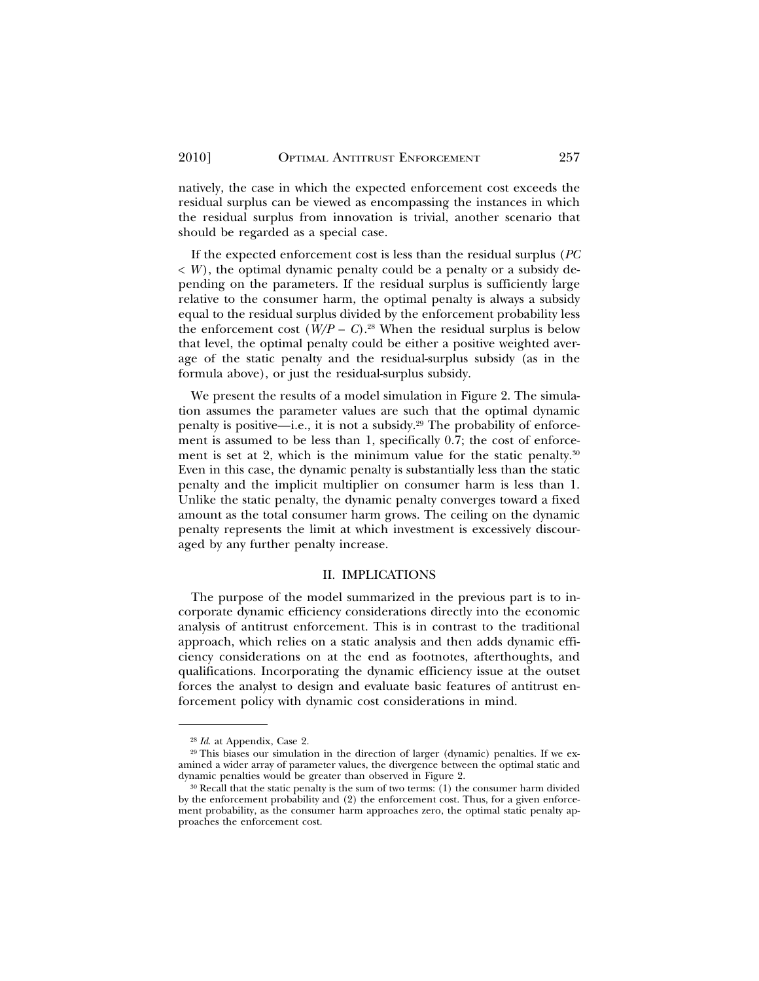natively, the case in which the expected enforcement cost exceeds the residual surplus can be viewed as encompassing the instances in which the residual surplus from innovation is trivial, another scenario that should be regarded as a special case.

If the expected enforcement cost is less than the residual surplus (*PC*  $\langle W \rangle$ , the optimal dynamic penalty could be a penalty or a subsidy depending on the parameters. If the residual surplus is sufficiently large relative to the consumer harm, the optimal penalty is always a subsidy equal to the residual surplus divided by the enforcement probability less the enforcement cost  $(W/P - C)$ .<sup>28</sup> When the residual surplus is below that level, the optimal penalty could be either a positive weighted average of the static penalty and the residual-surplus subsidy (as in the formula above), or just the residual-surplus subsidy.

We present the results of a model simulation in Figure 2. The simulation assumes the parameter values are such that the optimal dynamic penalty is positive—i.e., it is not a subsidy.29 The probability of enforcement is assumed to be less than 1, specifically 0.7; the cost of enforcement is set at 2, which is the minimum value for the static penalty.<sup>30</sup> Even in this case, the dynamic penalty is substantially less than the static penalty and the implicit multiplier on consumer harm is less than 1. Unlike the static penalty, the dynamic penalty converges toward a fixed amount as the total consumer harm grows. The ceiling on the dynamic penalty represents the limit at which investment is excessively discouraged by any further penalty increase.

#### II. IMPLICATIONS

The purpose of the model summarized in the previous part is to incorporate dynamic efficiency considerations directly into the economic analysis of antitrust enforcement. This is in contrast to the traditional approach, which relies on a static analysis and then adds dynamic efficiency considerations on at the end as footnotes, afterthoughts, and qualifications. Incorporating the dynamic efficiency issue at the outset forces the analyst to design and evaluate basic features of antitrust enforcement policy with dynamic cost considerations in mind.

<sup>28</sup> *Id*. at Appendix, Case 2.

<sup>29</sup> This biases our simulation in the direction of larger (dynamic) penalties. If we examined a wider array of parameter values, the divergence between the optimal static and dynamic penalties would be greater than observed in Figure 2.

<sup>30</sup> Recall that the static penalty is the sum of two terms: (1) the consumer harm divided by the enforcement probability and (2) the enforcement cost. Thus, for a given enforcement probability, as the consumer harm approaches zero, the optimal static penalty approaches the enforcement cost.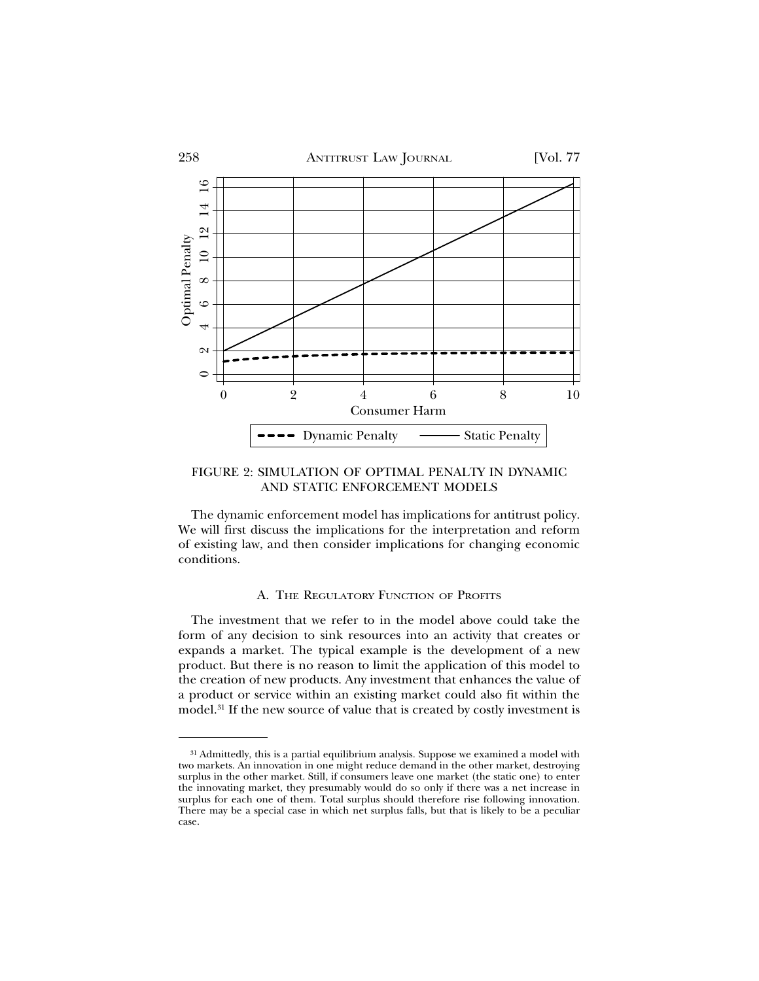

FIGURE 2: SIMULATION OF OPTIMAL PENALTY IN DYNAMIC AND STATIC ENFORCEMENT MODELS

The dynamic enforcement model has implications for antitrust policy. We will first discuss the implications for the interpretation and reform of existing law, and then consider implications for changing economic conditions.

#### A. THE REGULATORY FUNCTION OF PROFITS

The investment that we refer to in the model above could take the form of any decision to sink resources into an activity that creates or expands a market. The typical example is the development of a new product. But there is no reason to limit the application of this model to the creation of new products. Any investment that enhances the value of a product or service within an existing market could also fit within the model.31 If the new source of value that is created by costly investment is

<sup>&</sup>lt;sup>31</sup> Admittedly, this is a partial equilibrium analysis. Suppose we examined a model with two markets. An innovation in one might reduce demand in the other market, destroying surplus in the other market. Still, if consumers leave one market (the static one) to enter the innovating market, they presumably would do so only if there was a net increase in surplus for each one of them. Total surplus should therefore rise following innovation. There may be a special case in which net surplus falls, but that is likely to be a peculiar case.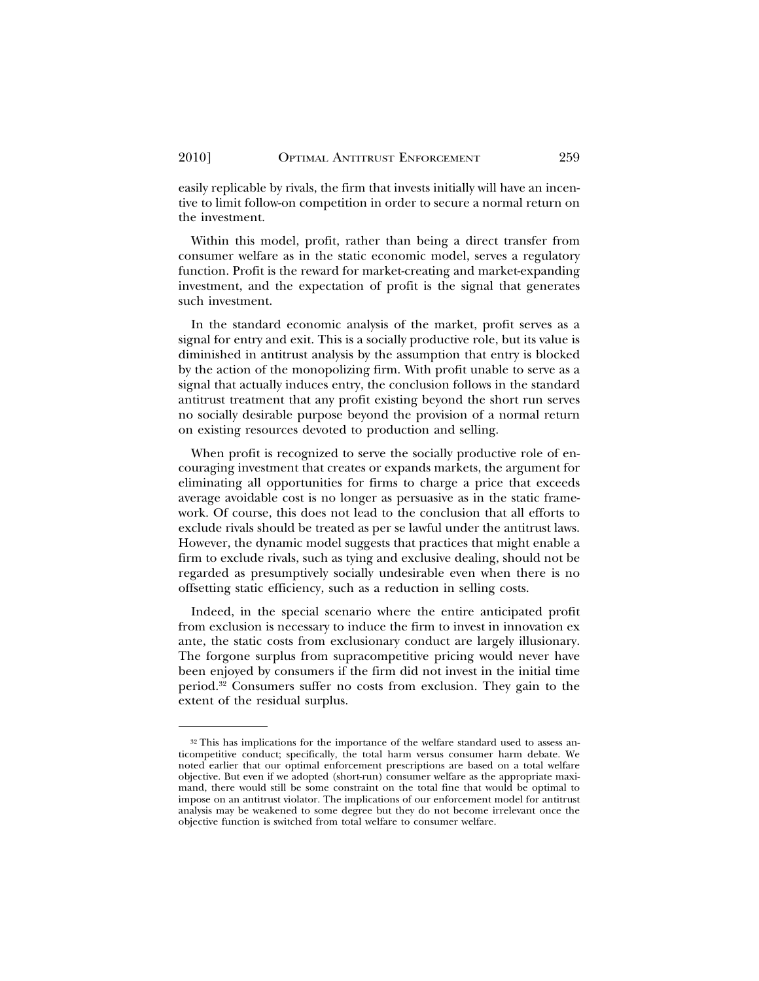easily replicable by rivals, the firm that invests initially will have an incentive to limit follow-on competition in order to secure a normal return on the investment.

Within this model, profit, rather than being a direct transfer from consumer welfare as in the static economic model, serves a regulatory function. Profit is the reward for market-creating and market-expanding investment, and the expectation of profit is the signal that generates such investment.

In the standard economic analysis of the market, profit serves as a signal for entry and exit. This is a socially productive role, but its value is diminished in antitrust analysis by the assumption that entry is blocked by the action of the monopolizing firm. With profit unable to serve as a signal that actually induces entry, the conclusion follows in the standard antitrust treatment that any profit existing beyond the short run serves no socially desirable purpose beyond the provision of a normal return on existing resources devoted to production and selling.

When profit is recognized to serve the socially productive role of encouraging investment that creates or expands markets, the argument for eliminating all opportunities for firms to charge a price that exceeds average avoidable cost is no longer as persuasive as in the static framework. Of course, this does not lead to the conclusion that all efforts to exclude rivals should be treated as per se lawful under the antitrust laws. However, the dynamic model suggests that practices that might enable a firm to exclude rivals, such as tying and exclusive dealing, should not be regarded as presumptively socially undesirable even when there is no offsetting static efficiency, such as a reduction in selling costs.

Indeed, in the special scenario where the entire anticipated profit from exclusion is necessary to induce the firm to invest in innovation ex ante, the static costs from exclusionary conduct are largely illusionary. The forgone surplus from supracompetitive pricing would never have been enjoyed by consumers if the firm did not invest in the initial time period.32 Consumers suffer no costs from exclusion. They gain to the extent of the residual surplus.

<sup>32</sup> This has implications for the importance of the welfare standard used to assess anticompetitive conduct; specifically, the total harm versus consumer harm debate. We noted earlier that our optimal enforcement prescriptions are based on a total welfare objective. But even if we adopted (short-run) consumer welfare as the appropriate maximand, there would still be some constraint on the total fine that would be optimal to impose on an antitrust violator. The implications of our enforcement model for antitrust analysis may be weakened to some degree but they do not become irrelevant once the objective function is switched from total welfare to consumer welfare.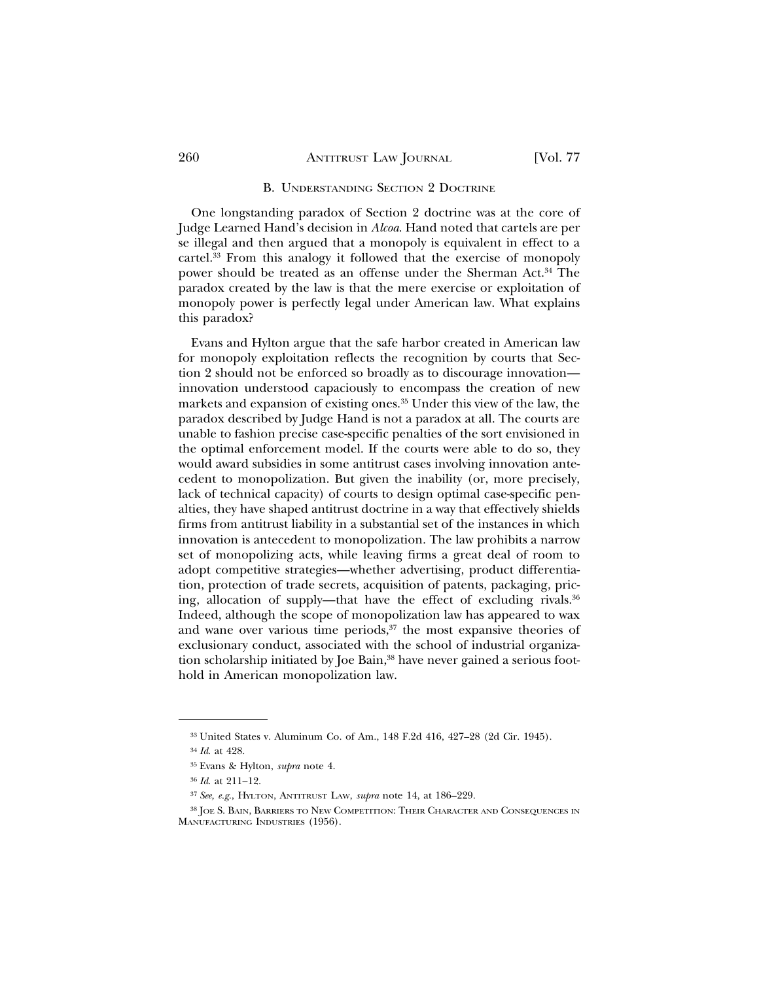#### B. UNDERSTANDING SECTION 9 DOCTRINE

One longstanding paradox of Section 2 doctrine was at the core of Judge Learned Hand's decision in *Alcoa*. Hand noted that cartels are per se illegal and then argued that a monopoly is equivalent in effect to a cartel.33 From this analogy it followed that the exercise of monopoly power should be treated as an offense under the Sherman Act.34 The paradox created by the law is that the mere exercise or exploitation of monopoly power is perfectly legal under American law. What explains this paradox?

Evans and Hylton argue that the safe harbor created in American law for monopoly exploitation reflects the recognition by courts that Section 2 should not be enforced so broadly as to discourage innovation innovation understood capaciously to encompass the creation of new markets and expansion of existing ones.35 Under this view of the law, the paradox described by Judge Hand is not a paradox at all. The courts are unable to fashion precise case-specific penalties of the sort envisioned in the optimal enforcement model. If the courts were able to do so, they would award subsidies in some antitrust cases involving innovation antecedent to monopolization. But given the inability (or, more precisely, lack of technical capacity) of courts to design optimal case-specific penalties, they have shaped antitrust doctrine in a way that effectively shields firms from antitrust liability in a substantial set of the instances in which innovation is antecedent to monopolization. The law prohibits a narrow set of monopolizing acts, while leaving firms a great deal of room to adopt competitive strategies—whether advertising, product differentiation, protection of trade secrets, acquisition of patents, packaging, pricing, allocation of supply—that have the effect of excluding rivals.<sup>36</sup> Indeed, although the scope of monopolization law has appeared to wax and wane over various time periods, $37$  the most expansive theories of exclusionary conduct, associated with the school of industrial organization scholarship initiated by Joe Bain,<sup>38</sup> have never gained a serious foothold in American monopolization law.

<sup>33</sup> United States v. Aluminum Co. of Am., 148 F.2d 416, 427–28 (2d Cir. 1945).

<sup>34</sup> *Id*. at 428.

<sup>35</sup> Evans & Hylton, *supra* note 4.

<sup>36</sup> *Id*. at 211–12.

<sup>37</sup> *See, e.g*., HYLTON, ANTITRUST LAW, *supra* note 14, at 186–229.

<sup>38</sup> JOE S. BAIN, BARRIERS TO NEW COMPETITION: THEIR CHARACTER AND CONSEQUENCES IN MANUFACTURING INDUSTRIES (1956).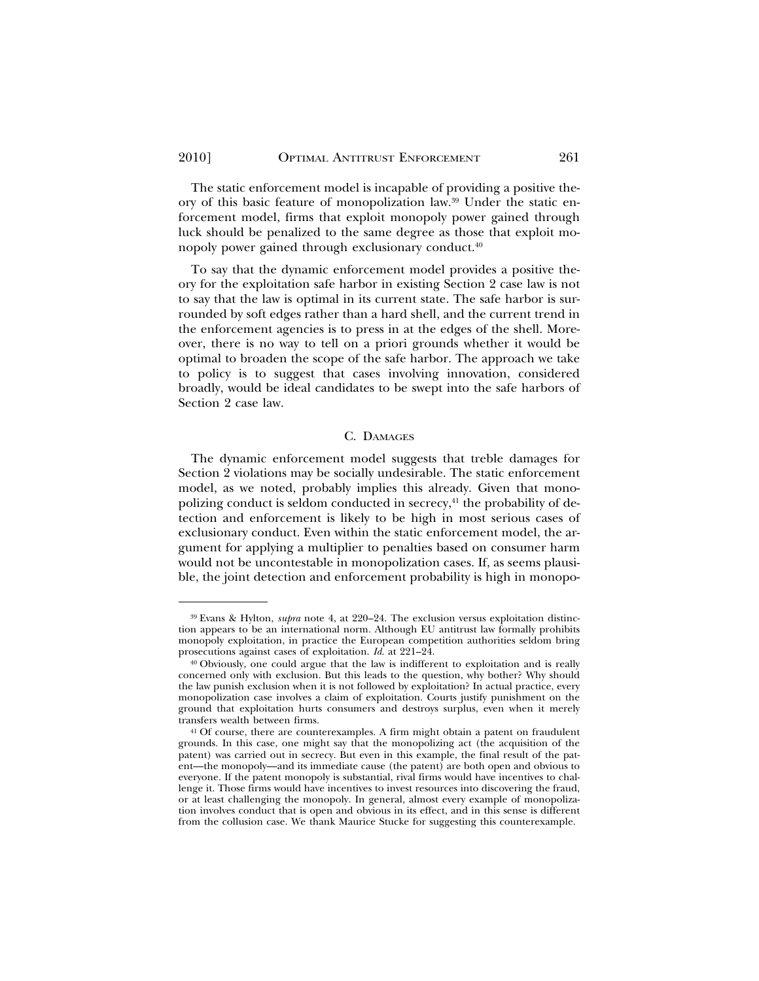The static enforcement model is incapable of providing a positive theory of this basic feature of monopolization law.39 Under the static enforcement model, firms that exploit monopoly power gained through luck should be penalized to the same degree as those that exploit monopoly power gained through exclusionary conduct.40

To say that the dynamic enforcement model provides a positive theory for the exploitation safe harbor in existing Section 2 case law is not to say that the law is optimal in its current state. The safe harbor is surrounded by soft edges rather than a hard shell, and the current trend in the enforcement agencies is to press in at the edges of the shell. Moreover, there is no way to tell on a priori grounds whether it would be optimal to broaden the scope of the safe harbor. The approach we take to policy is to suggest that cases involving innovation, considered broadly, would be ideal candidates to be swept into the safe harbors of Section 2 case law.

#### C. DAMAGES

The dynamic enforcement model suggests that treble damages for Section 2 violations may be socially undesirable. The static enforcement model, as we noted, probably implies this already. Given that monopolizing conduct is seldom conducted in secrecy, $41$  the probability of detection and enforcement is likely to be high in most serious cases of exclusionary conduct. Even within the static enforcement model, the argument for applying a multiplier to penalties based on consumer harm would not be uncontestable in monopolization cases. If, as seems plausible, the joint detection and enforcement probability is high in monopo-

<sup>39</sup> Evans & Hylton, *supra* note 4, at 220–24. The exclusion versus exploitation distinction appears to be an international norm. Although EU antitrust law formally prohibits monopoly exploitation, in practice the European competition authorities seldom bring prosecutions against cases of exploitation. *Id*. at 221–24.

<sup>40</sup> Obviously, one could argue that the law is indifferent to exploitation and is really concerned only with exclusion. But this leads to the question, why bother? Why should the law punish exclusion when it is not followed by exploitation? In actual practice, every monopolization case involves a claim of exploitation. Courts justify punishment on the ground that exploitation hurts consumers and destroys surplus, even when it merely transfers wealth between firms.

<sup>41</sup> Of course, there are counterexamples. A firm might obtain a patent on fraudulent grounds. In this case, one might say that the monopolizing act (the acquisition of the patent) was carried out in secrecy. But even in this example, the final result of the patent—the monopoly—and its immediate cause (the patent) are both open and obvious to everyone. If the patent monopoly is substantial, rival firms would have incentives to challenge it. Those firms would have incentives to invest resources into discovering the fraud, or at least challenging the monopoly. In general, almost every example of monopolization involves conduct that is open and obvious in its effect, and in this sense is different from the collusion case. We thank Maurice Stucke for suggesting this counterexample.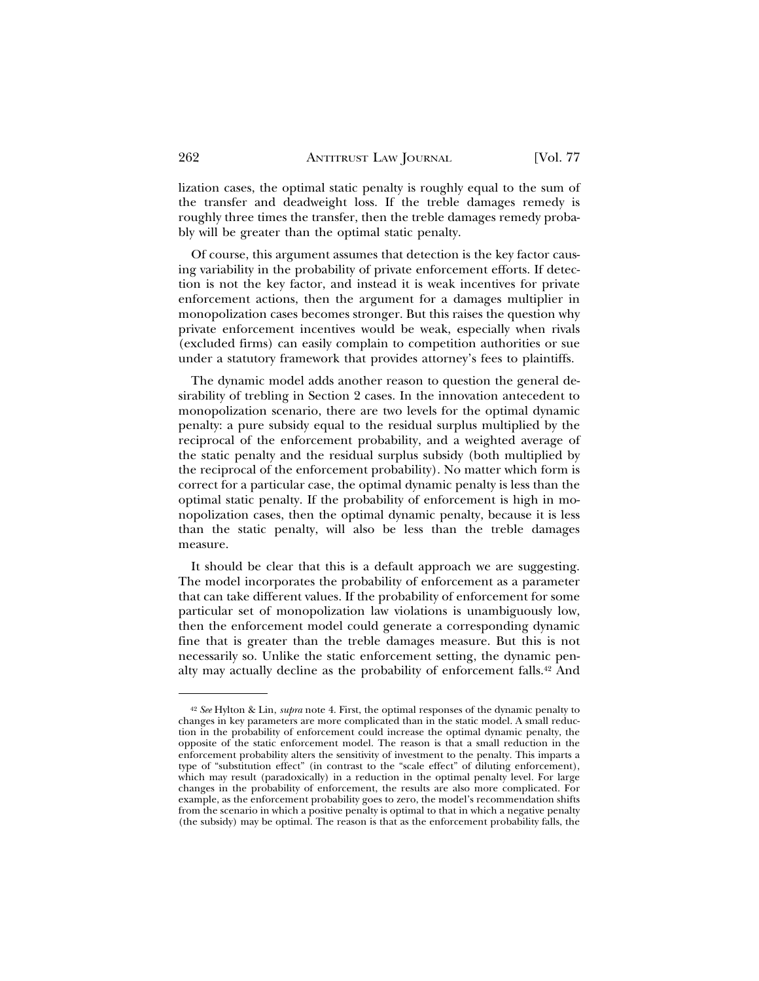lization cases, the optimal static penalty is roughly equal to the sum of the transfer and deadweight loss. If the treble damages remedy is roughly three times the transfer, then the treble damages remedy probably will be greater than the optimal static penalty.

Of course, this argument assumes that detection is the key factor causing variability in the probability of private enforcement efforts. If detection is not the key factor, and instead it is weak incentives for private enforcement actions, then the argument for a damages multiplier in monopolization cases becomes stronger. But this raises the question why private enforcement incentives would be weak, especially when rivals (excluded firms) can easily complain to competition authorities or sue under a statutory framework that provides attorney's fees to plaintiffs.

The dynamic model adds another reason to question the general desirability of trebling in Section 2 cases. In the innovation antecedent to monopolization scenario, there are two levels for the optimal dynamic penalty: a pure subsidy equal to the residual surplus multiplied by the reciprocal of the enforcement probability, and a weighted average of the static penalty and the residual surplus subsidy (both multiplied by the reciprocal of the enforcement probability). No matter which form is correct for a particular case, the optimal dynamic penalty is less than the optimal static penalty. If the probability of enforcement is high in monopolization cases, then the optimal dynamic penalty, because it is less than the static penalty, will also be less than the treble damages measure.

It should be clear that this is a default approach we are suggesting. The model incorporates the probability of enforcement as a parameter that can take different values. If the probability of enforcement for some particular set of monopolization law violations is unambiguously low, then the enforcement model could generate a corresponding dynamic fine that is greater than the treble damages measure. But this is not necessarily so. Unlike the static enforcement setting, the dynamic penalty may actually decline as the probability of enforcement falls.42 And

<sup>42</sup> *See* Hylton & Lin, *supra* note 4. First, the optimal responses of the dynamic penalty to changes in key parameters are more complicated than in the static model. A small reduction in the probability of enforcement could increase the optimal dynamic penalty, the opposite of the static enforcement model. The reason is that a small reduction in the enforcement probability alters the sensitivity of investment to the penalty. This imparts a type of "substitution effect" (in contrast to the "scale effect" of diluting enforcement), which may result (paradoxically) in a reduction in the optimal penalty level. For large changes in the probability of enforcement, the results are also more complicated. For example, as the enforcement probability goes to zero, the model's recommendation shifts from the scenario in which a positive penalty is optimal to that in which a negative penalty (the subsidy) may be optimal. The reason is that as the enforcement probability falls, the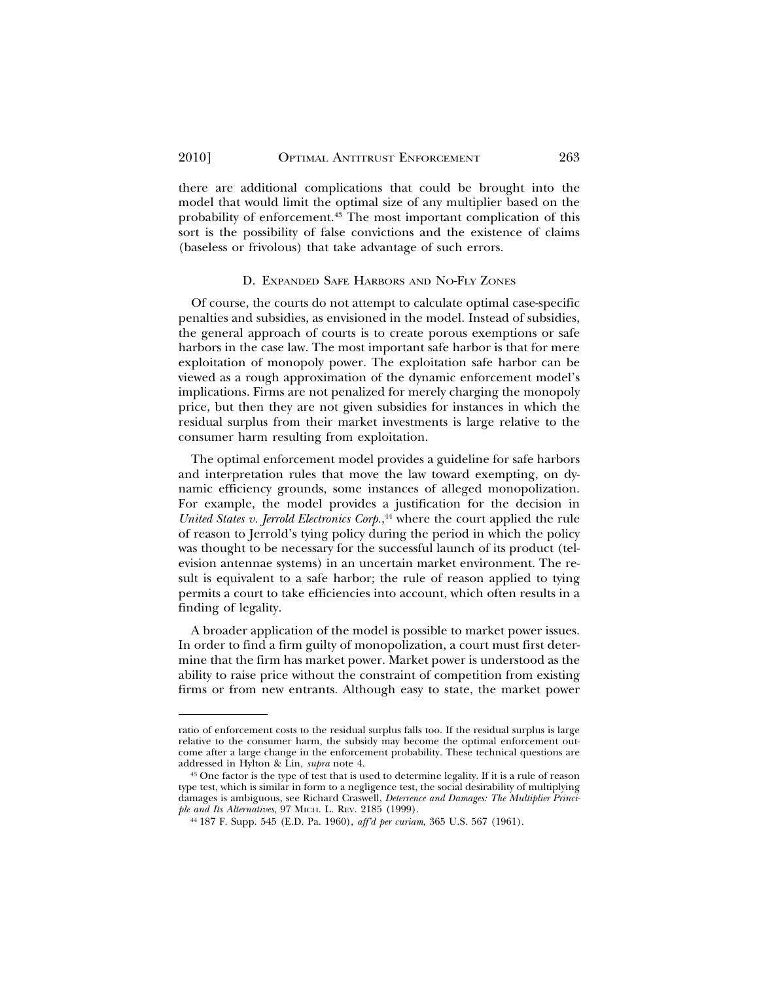there are additional complications that could be brought into the model that would limit the optimal size of any multiplier based on the probability of enforcement.43 The most important complication of this sort is the possibility of false convictions and the existence of claims (baseless or frivolous) that take advantage of such errors.

#### D. EXPANDED SAFE HARBORS AND NO-FLY ZONES

Of course, the courts do not attempt to calculate optimal case-specific penalties and subsidies, as envisioned in the model. Instead of subsidies, the general approach of courts is to create porous exemptions or safe harbors in the case law. The most important safe harbor is that for mere exploitation of monopoly power. The exploitation safe harbor can be viewed as a rough approximation of the dynamic enforcement model's implications. Firms are not penalized for merely charging the monopoly price, but then they are not given subsidies for instances in which the residual surplus from their market investments is large relative to the consumer harm resulting from exploitation.

The optimal enforcement model provides a guideline for safe harbors and interpretation rules that move the law toward exempting, on dynamic efficiency grounds, some instances of alleged monopolization. For example, the model provides a justification for the decision in *United States v. Jerrold Electronics Corp.*, 44 where the court applied the rule of reason to Jerrold's tying policy during the period in which the policy was thought to be necessary for the successful launch of its product (television antennae systems) in an uncertain market environment. The result is equivalent to a safe harbor; the rule of reason applied to tying permits a court to take efficiencies into account, which often results in a finding of legality.

A broader application of the model is possible to market power issues. In order to find a firm guilty of monopolization, a court must first determine that the firm has market power. Market power is understood as the ability to raise price without the constraint of competition from existing firms or from new entrants. Although easy to state, the market power

ratio of enforcement costs to the residual surplus falls too. If the residual surplus is large relative to the consumer harm, the subsidy may become the optimal enforcement outcome after a large change in the enforcement probability. These technical questions are addressed in Hylton & Lin, *supra* note 4.

<sup>43</sup> One factor is the type of test that is used to determine legality. If it is a rule of reason type test, which is similar in form to a negligence test, the social desirability of multiplying damages is ambiguous, see Richard Craswell, *Deterrence and Damages: The Multiplier Principle and Its Alternatives*, 97 MICH. L. REV. 2185 (1999).

<sup>44</sup> 187 F. Supp. 545 (E.D. Pa. 1960), *aff'd per curiam*, 365 U.S. 567 (1961).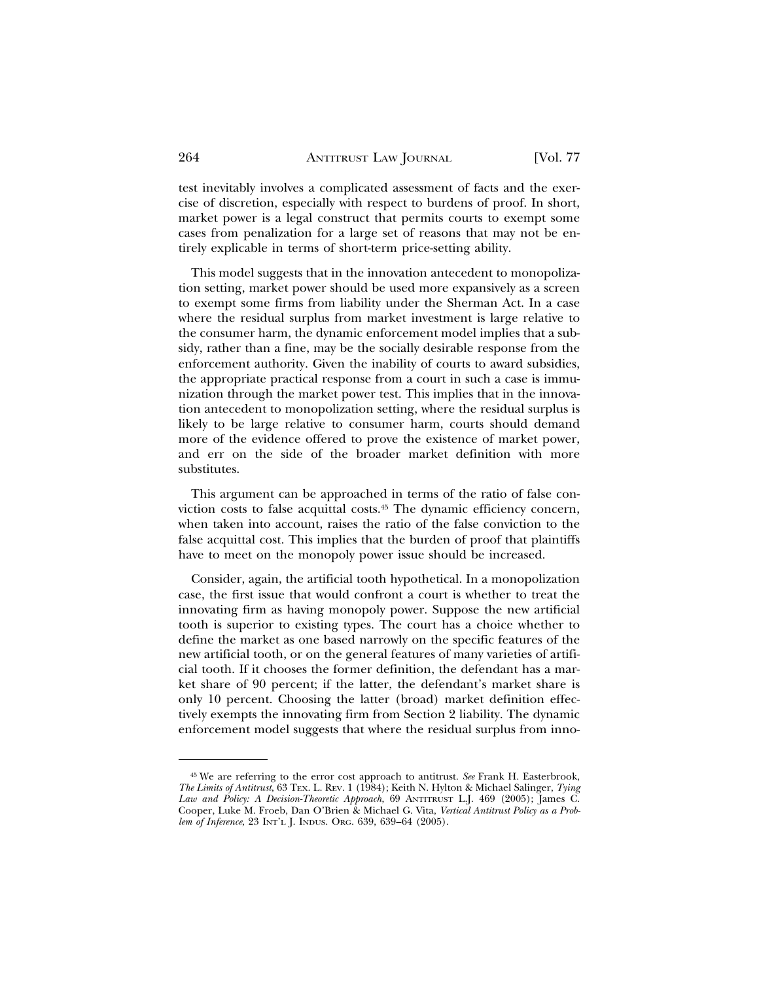test inevitably involves a complicated assessment of facts and the exercise of discretion, especially with respect to burdens of proof. In short, market power is a legal construct that permits courts to exempt some cases from penalization for a large set of reasons that may not be entirely explicable in terms of short-term price-setting ability.

This model suggests that in the innovation antecedent to monopolization setting, market power should be used more expansively as a screen to exempt some firms from liability under the Sherman Act. In a case where the residual surplus from market investment is large relative to the consumer harm, the dynamic enforcement model implies that a subsidy, rather than a fine, may be the socially desirable response from the enforcement authority. Given the inability of courts to award subsidies, the appropriate practical response from a court in such a case is immunization through the market power test. This implies that in the innovation antecedent to monopolization setting, where the residual surplus is likely to be large relative to consumer harm, courts should demand more of the evidence offered to prove the existence of market power, and err on the side of the broader market definition with more substitutes.

This argument can be approached in terms of the ratio of false conviction costs to false acquittal costs.45 The dynamic efficiency concern, when taken into account, raises the ratio of the false conviction to the false acquittal cost. This implies that the burden of proof that plaintiffs have to meet on the monopoly power issue should be increased.

Consider, again, the artificial tooth hypothetical. In a monopolization case, the first issue that would confront a court is whether to treat the innovating firm as having monopoly power. Suppose the new artificial tooth is superior to existing types. The court has a choice whether to define the market as one based narrowly on the specific features of the new artificial tooth, or on the general features of many varieties of artificial tooth. If it chooses the former definition, the defendant has a market share of 90 percent; if the latter, the defendant's market share is only 10 percent. Choosing the latter (broad) market definition effectively exempts the innovating firm from Section 2 liability. The dynamic enforcement model suggests that where the residual surplus from inno-

<sup>45</sup> We are referring to the error cost approach to antitrust. *See* Frank H. Easterbrook, *The Limits of Antitrust*, 63 TEX. L. REV. 1 (1984); Keith N. Hylton & Michael Salinger, *Tying Law and Policy: A Decision-Theoretic Approach*, 69 ANTITRUST L.J. 469 (2005); James C. Cooper, Luke M. Froeb, Dan O'Brien & Michael G. Vita, *Vertical Antitrust Policy as a Problem of Inference*, 23 INT'L J. INDUS. ORG. 639, 639–64 (2005).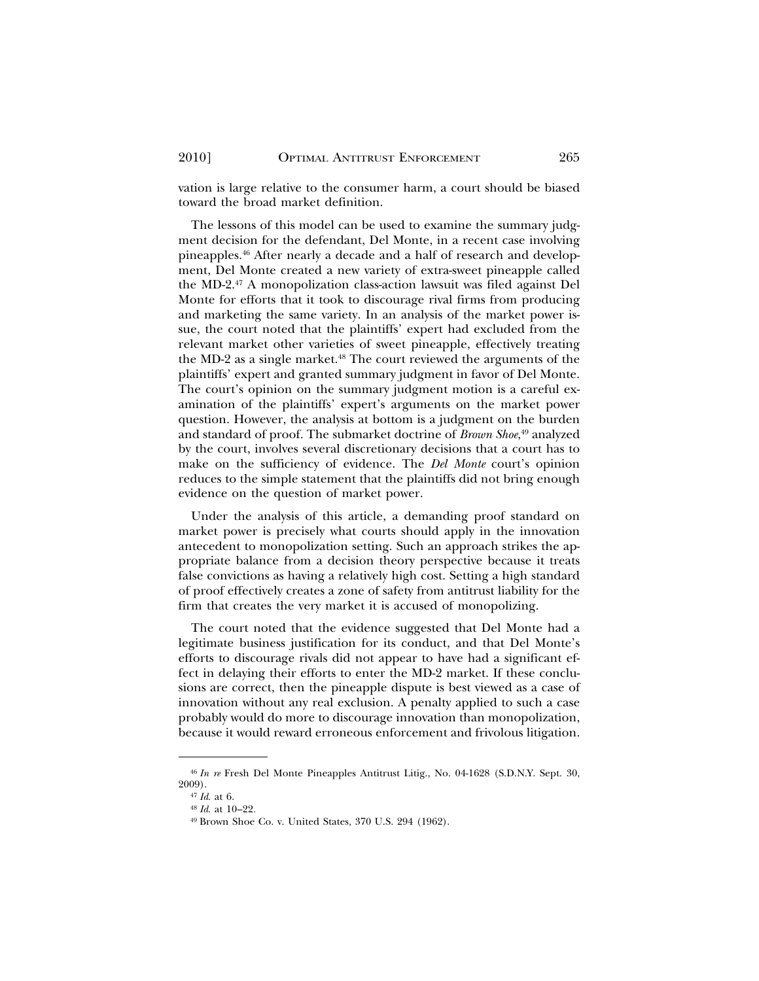vation is large relative to the consumer harm, a court should be biased toward the broad market definition.

The lessons of this model can be used to examine the summary judgment decision for the defendant, Del Monte, in a recent case involving pineapples.46 After nearly a decade and a half of research and development, Del Monte created a new variety of extra-sweet pineapple called the MD-2.47 A monopolization class-action lawsuit was filed against Del Monte for efforts that it took to discourage rival firms from producing and marketing the same variety. In an analysis of the market power issue, the court noted that the plaintiffs' expert had excluded from the relevant market other varieties of sweet pineapple, effectively treating the MD-2 as a single market.<sup>48</sup> The court reviewed the arguments of the plaintiffs' expert and granted summary judgment in favor of Del Monte. The court's opinion on the summary judgment motion is a careful examination of the plaintiffs' expert's arguments on the market power question. However, the analysis at bottom is a judgment on the burden and standard of proof. The submarket doctrine of *Brown Shoe*, 49 analyzed by the court, involves several discretionary decisions that a court has to make on the sufficiency of evidence. The *Del Monte* court's opinion reduces to the simple statement that the plaintiffs did not bring enough evidence on the question of market power.

Under the analysis of this article, a demanding proof standard on market power is precisely what courts should apply in the innovation antecedent to monopolization setting. Such an approach strikes the appropriate balance from a decision theory perspective because it treats false convictions as having a relatively high cost. Setting a high standard of proof effectively creates a zone of safety from antitrust liability for the firm that creates the very market it is accused of monopolizing.

The court noted that the evidence suggested that Del Monte had a legitimate business justification for its conduct, and that Del Monte's efforts to discourage rivals did not appear to have had a significant effect in delaying their efforts to enter the MD-2 market. If these conclusions are correct, then the pineapple dispute is best viewed as a case of innovation without any real exclusion. A penalty applied to such a case probably would do more to discourage innovation than monopolization, because it would reward erroneous enforcement and frivolous litigation.

<sup>46</sup> *In re* Fresh Del Monte Pineapples Antitrust Litig., No. 04-1628 (S.D.N.Y. Sept. 30, 2009).

<sup>47</sup> *Id*. at 6.

<sup>48</sup> *Id*. at 10–22.

<sup>49</sup> Brown Shoe Co. v. United States, 370 U.S. 294 (1962).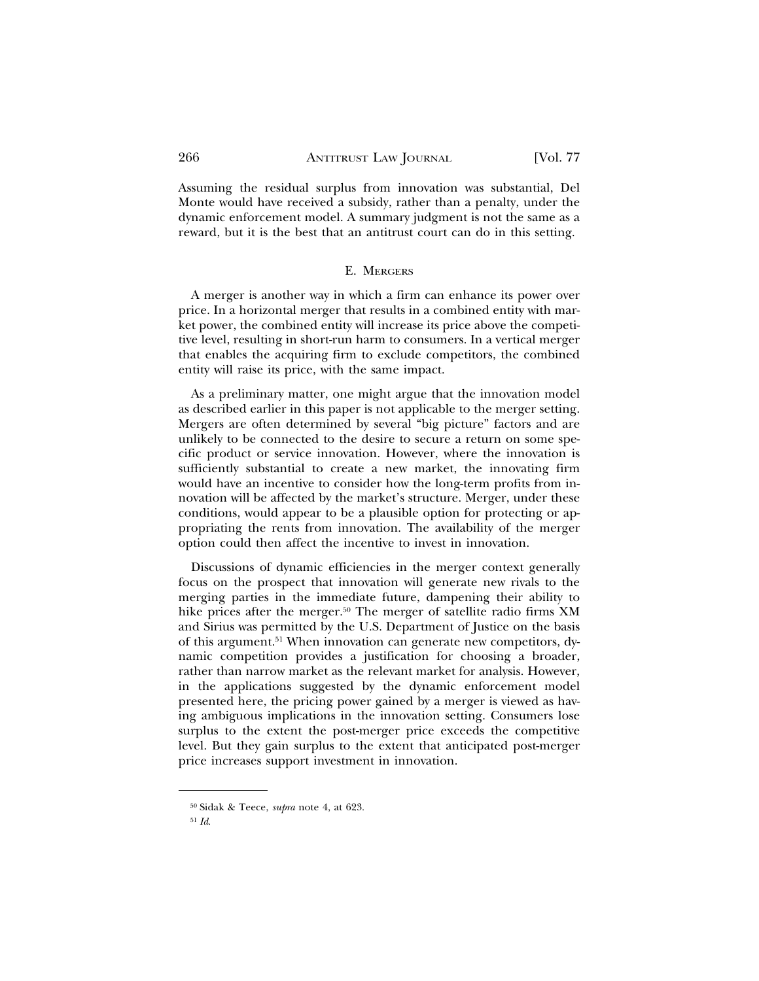Assuming the residual surplus from innovation was substantial, Del Monte would have received a subsidy, rather than a penalty, under the dynamic enforcement model. A summary judgment is not the same as a reward, but it is the best that an antitrust court can do in this setting.

#### E. MERGERS

A merger is another way in which a firm can enhance its power over price. In a horizontal merger that results in a combined entity with market power, the combined entity will increase its price above the competitive level, resulting in short-run harm to consumers. In a vertical merger that enables the acquiring firm to exclude competitors, the combined entity will raise its price, with the same impact.

As a preliminary matter, one might argue that the innovation model as described earlier in this paper is not applicable to the merger setting. Mergers are often determined by several "big picture" factors and are unlikely to be connected to the desire to secure a return on some specific product or service innovation. However, where the innovation is sufficiently substantial to create a new market, the innovating firm would have an incentive to consider how the long-term profits from innovation will be affected by the market's structure. Merger, under these conditions, would appear to be a plausible option for protecting or appropriating the rents from innovation. The availability of the merger option could then affect the incentive to invest in innovation.

Discussions of dynamic efficiencies in the merger context generally focus on the prospect that innovation will generate new rivals to the merging parties in the immediate future, dampening their ability to hike prices after the merger.<sup>50</sup> The merger of satellite radio firms XM and Sirius was permitted by the U.S. Department of Justice on the basis of this argument.51 When innovation can generate new competitors, dynamic competition provides a justification for choosing a broader, rather than narrow market as the relevant market for analysis. However, in the applications suggested by the dynamic enforcement model presented here, the pricing power gained by a merger is viewed as having ambiguous implications in the innovation setting. Consumers lose surplus to the extent the post-merger price exceeds the competitive level. But they gain surplus to the extent that anticipated post-merger price increases support investment in innovation.

<sup>50</sup> Sidak & Teece, *supra* note 4, at 623.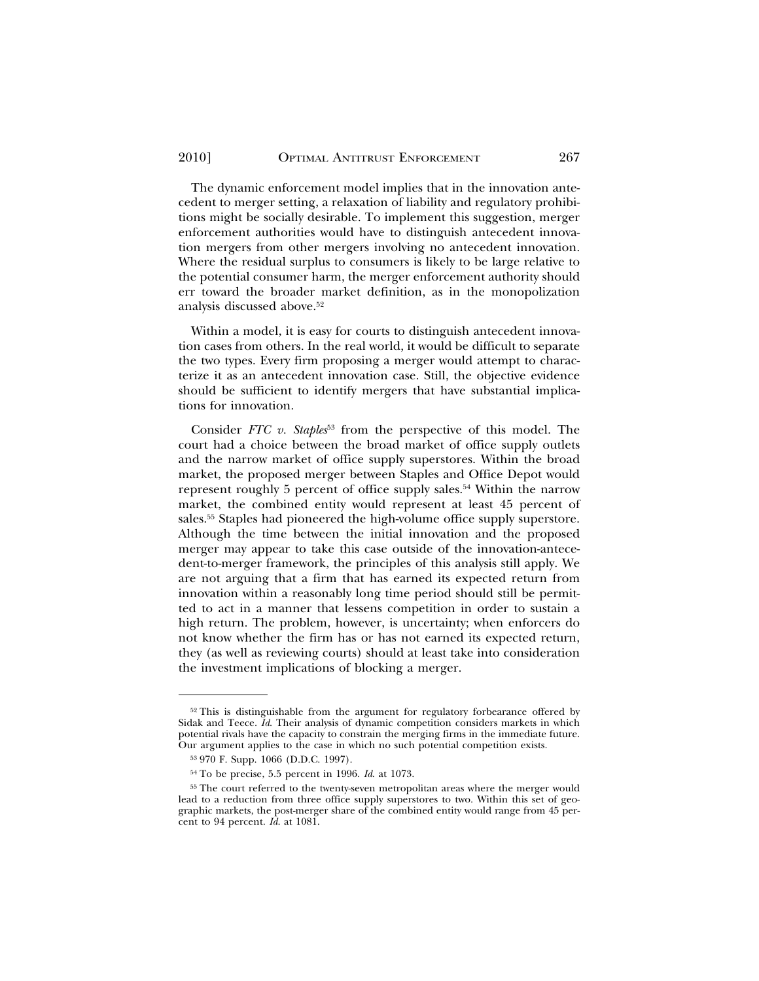The dynamic enforcement model implies that in the innovation antecedent to merger setting, a relaxation of liability and regulatory prohibitions might be socially desirable. To implement this suggestion, merger enforcement authorities would have to distinguish antecedent innovation mergers from other mergers involving no antecedent innovation. Where the residual surplus to consumers is likely to be large relative to the potential consumer harm, the merger enforcement authority should err toward the broader market definition, as in the monopolization analysis discussed above.52

Within a model, it is easy for courts to distinguish antecedent innovation cases from others. In the real world, it would be difficult to separate the two types. Every firm proposing a merger would attempt to characterize it as an antecedent innovation case. Still, the objective evidence should be sufficient to identify mergers that have substantial implications for innovation.

Consider *FTC* v. Staples<sup>53</sup> from the perspective of this model. The court had a choice between the broad market of office supply outlets and the narrow market of office supply superstores. Within the broad market, the proposed merger between Staples and Office Depot would represent roughly 5 percent of office supply sales.<sup>54</sup> Within the narrow market, the combined entity would represent at least 45 percent of sales.55 Staples had pioneered the high-volume office supply superstore. Although the time between the initial innovation and the proposed merger may appear to take this case outside of the innovation-antecedent-to-merger framework, the principles of this analysis still apply. We are not arguing that a firm that has earned its expected return from innovation within a reasonably long time period should still be permitted to act in a manner that lessens competition in order to sustain a high return. The problem, however, is uncertainty; when enforcers do not know whether the firm has or has not earned its expected return, they (as well as reviewing courts) should at least take into consideration the investment implications of blocking a merger.

<sup>&</sup>lt;sup>52</sup> This is distinguishable from the argument for regulatory forbearance offered by Sidak and Teece. *Id*. Their analysis of dynamic competition considers markets in which potential rivals have the capacity to constrain the merging firms in the immediate future. Our argument applies to the case in which no such potential competition exists.

<sup>53</sup> 970 F. Supp. 1066 (D.D.C. 1997).

<sup>54</sup> To be precise, 5.5 percent in 1996. *Id*. at 1073.

<sup>55</sup> The court referred to the twenty-seven metropolitan areas where the merger would lead to a reduction from three office supply superstores to two. Within this set of geographic markets, the post-merger share of the combined entity would range from 45 percent to 94 percent. *Id*. at 1081.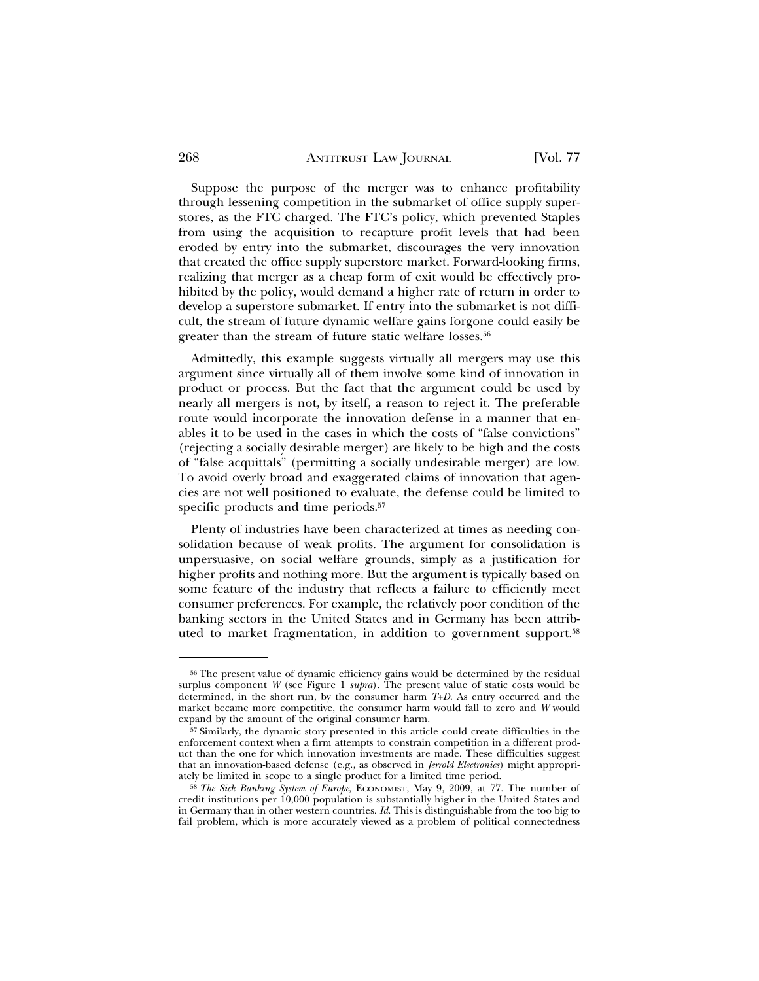Suppose the purpose of the merger was to enhance profitability through lessening competition in the submarket of office supply superstores, as the FTC charged. The FTC's policy, which prevented Staples from using the acquisition to recapture profit levels that had been eroded by entry into the submarket, discourages the very innovation that created the office supply superstore market. Forward-looking firms, realizing that merger as a cheap form of exit would be effectively prohibited by the policy, would demand a higher rate of return in order to develop a superstore submarket. If entry into the submarket is not difficult, the stream of future dynamic welfare gains forgone could easily be greater than the stream of future static welfare losses.<sup>56</sup>

Admittedly, this example suggests virtually all mergers may use this argument since virtually all of them involve some kind of innovation in product or process. But the fact that the argument could be used by nearly all mergers is not, by itself, a reason to reject it. The preferable route would incorporate the innovation defense in a manner that enables it to be used in the cases in which the costs of "false convictions" (rejecting a socially desirable merger) are likely to be high and the costs of "false acquittals" (permitting a socially undesirable merger) are low. To avoid overly broad and exaggerated claims of innovation that agencies are not well positioned to evaluate, the defense could be limited to specific products and time periods.<sup>57</sup>

Plenty of industries have been characterized at times as needing consolidation because of weak profits. The argument for consolidation is unpersuasive, on social welfare grounds, simply as a justification for higher profits and nothing more. But the argument is typically based on some feature of the industry that reflects a failure to efficiently meet consumer preferences. For example, the relatively poor condition of the banking sectors in the United States and in Germany has been attributed to market fragmentation, in addition to government support.58

 $56$  The present value of dynamic efficiency gains would be determined by the residual surplus component *W* (see Figure 1 *supra*). The present value of static costs would be determined, in the short run, by the consumer harm *T*+*D*. As entry occurred and the market became more competitive, the consumer harm would fall to zero and *W* would expand by the amount of the original consumer harm.

<sup>57</sup> Similarly, the dynamic story presented in this article could create difficulties in the enforcement context when a firm attempts to constrain competition in a different product than the one for which innovation investments are made. These difficulties suggest that an innovation-based defense (e.g., as observed in *Jerrold Electronics*) might appropriately be limited in scope to a single product for a limited time period.

<sup>58</sup> *The Sick Banking System of Europe*, ECONOMIST, May 9, 2009, at 77. The number of credit institutions per 10,000 population is substantially higher in the United States and in Germany than in other western countries. *Id*. This is distinguishable from the too big to fail problem, which is more accurately viewed as a problem of political connectedness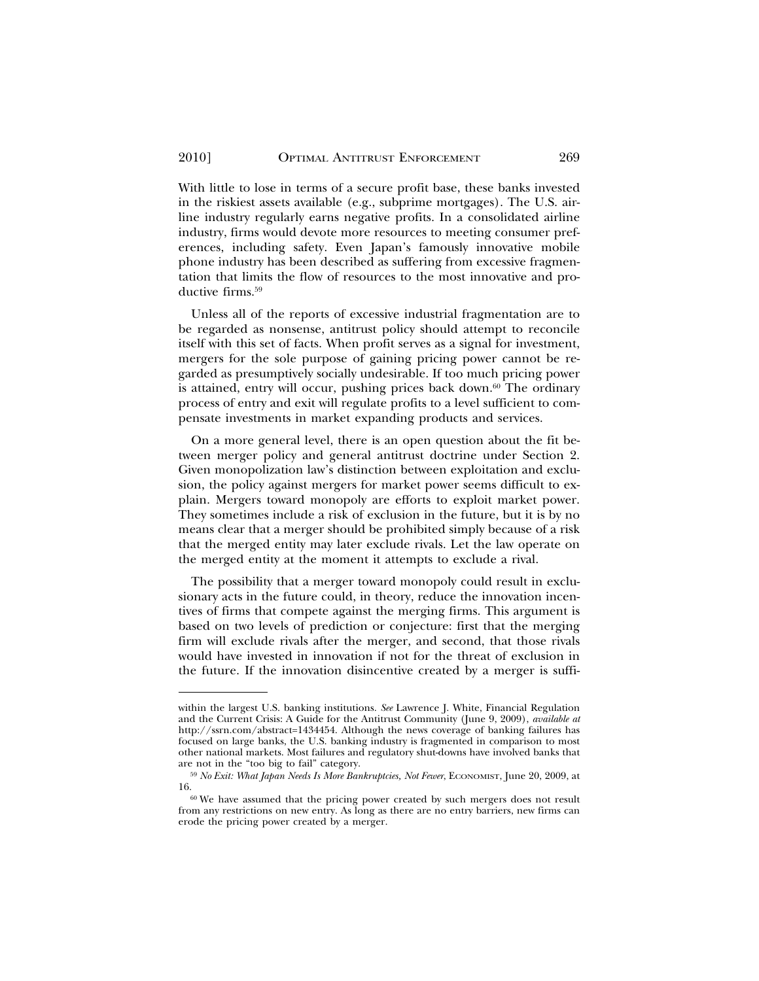With little to lose in terms of a secure profit base, these banks invested in the riskiest assets available (e.g., subprime mortgages). The U.S. airline industry regularly earns negative profits. In a consolidated airline industry, firms would devote more resources to meeting consumer preferences, including safety. Even Japan's famously innovative mobile phone industry has been described as suffering from excessive fragmentation that limits the flow of resources to the most innovative and productive firms.<sup>59</sup>

Unless all of the reports of excessive industrial fragmentation are to be regarded as nonsense, antitrust policy should attempt to reconcile itself with this set of facts. When profit serves as a signal for investment, mergers for the sole purpose of gaining pricing power cannot be regarded as presumptively socially undesirable. If too much pricing power is attained, entry will occur, pushing prices back down.<sup>60</sup> The ordinary process of entry and exit will regulate profits to a level sufficient to compensate investments in market expanding products and services.

On a more general level, there is an open question about the fit between merger policy and general antitrust doctrine under Section 2. Given monopolization law's distinction between exploitation and exclusion, the policy against mergers for market power seems difficult to explain. Mergers toward monopoly are efforts to exploit market power. They sometimes include a risk of exclusion in the future, but it is by no means clear that a merger should be prohibited simply because of a risk that the merged entity may later exclude rivals. Let the law operate on the merged entity at the moment it attempts to exclude a rival.

The possibility that a merger toward monopoly could result in exclusionary acts in the future could, in theory, reduce the innovation incentives of firms that compete against the merging firms. This argument is based on two levels of prediction or conjecture: first that the merging firm will exclude rivals after the merger, and second, that those rivals would have invested in innovation if not for the threat of exclusion in the future. If the innovation disincentive created by a merger is suffi-

within the largest U.S. banking institutions. *See* Lawrence J. White, Financial Regulation and the Current Crisis: A Guide for the Antitrust Community (June 9, 2009), *available at* http://ssrn.com/abstract=1434454. Although the news coverage of banking failures has focused on large banks, the U.S. banking industry is fragmented in comparison to most other national markets. Most failures and regulatory shut-downs have involved banks that are not in the "too big to fail" category.

<sup>59</sup> *No Exit: What Japan Needs Is More Bankruptcies, Not Fewer*, ECONOMIST, June 20, 2009, at

<sup>16.&</sup>lt;br><sup>60</sup> We have assumed that the pricing power created by such mergers does not result from any restrictions on new entry. As long as there are no entry barriers, new firms can erode the pricing power created by a merger.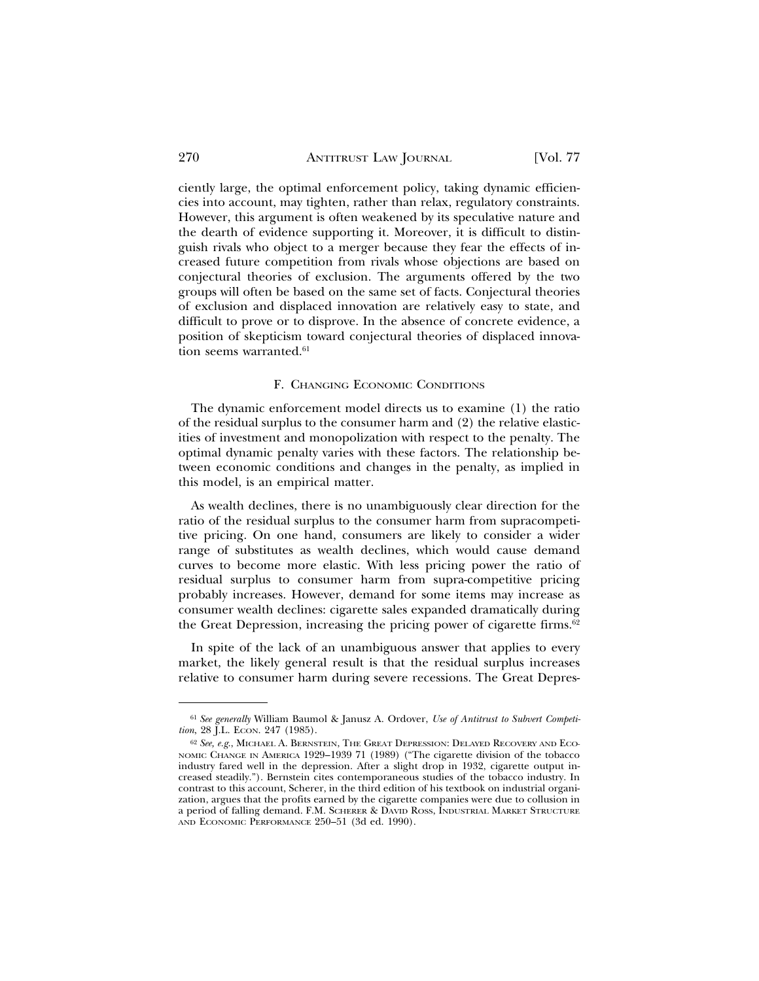ciently large, the optimal enforcement policy, taking dynamic efficiencies into account, may tighten, rather than relax, regulatory constraints. However, this argument is often weakened by its speculative nature and the dearth of evidence supporting it. Moreover, it is difficult to distinguish rivals who object to a merger because they fear the effects of increased future competition from rivals whose objections are based on conjectural theories of exclusion. The arguments offered by the two groups will often be based on the same set of facts. Conjectural theories of exclusion and displaced innovation are relatively easy to state, and difficult to prove or to disprove. In the absence of concrete evidence, a position of skepticism toward conjectural theories of displaced innovation seems warranted.<sup>61</sup>

#### F. CHANGING ECONOMIC CONDITIONS

The dynamic enforcement model directs us to examine (1) the ratio of the residual surplus to the consumer harm and (2) the relative elasticities of investment and monopolization with respect to the penalty. The optimal dynamic penalty varies with these factors. The relationship between economic conditions and changes in the penalty, as implied in this model, is an empirical matter.

As wealth declines, there is no unambiguously clear direction for the ratio of the residual surplus to the consumer harm from supracompetitive pricing. On one hand, consumers are likely to consider a wider range of substitutes as wealth declines, which would cause demand curves to become more elastic. With less pricing power the ratio of residual surplus to consumer harm from supra-competitive pricing probably increases. However, demand for some items may increase as consumer wealth declines: cigarette sales expanded dramatically during the Great Depression, increasing the pricing power of cigarette firms.<sup>62</sup>

In spite of the lack of an unambiguous answer that applies to every market, the likely general result is that the residual surplus increases relative to consumer harm during severe recessions. The Great Depres-

<sup>61</sup> *See generally* William Baumol & Janusz A. Ordover, *Use of Antitrust to Subvert Competition*, 28 J.L. ECON. 247 (1985).

<sup>62</sup> *See, e.g*., MICHAEL A. BERNSTEIN, THE GREAT DEPRESSION: DELAYED RECOVERY AND ECO-NOMIC CHANGE IN AMERICA 1929–1939 71 (1989) ("The cigarette division of the tobacco industry fared well in the depression. After a slight drop in 1932, cigarette output increased steadily."). Bernstein cites contemporaneous studies of the tobacco industry. In contrast to this account, Scherer, in the third edition of his textbook on industrial organization, argues that the profits earned by the cigarette companies were due to collusion in a period of falling demand. F.M. SCHERER & DAVID ROSS, INDUSTRIAL MARKET STRUCTURE AND ECONOMIC PERFORMANCE 250–51 (3d ed. 1990).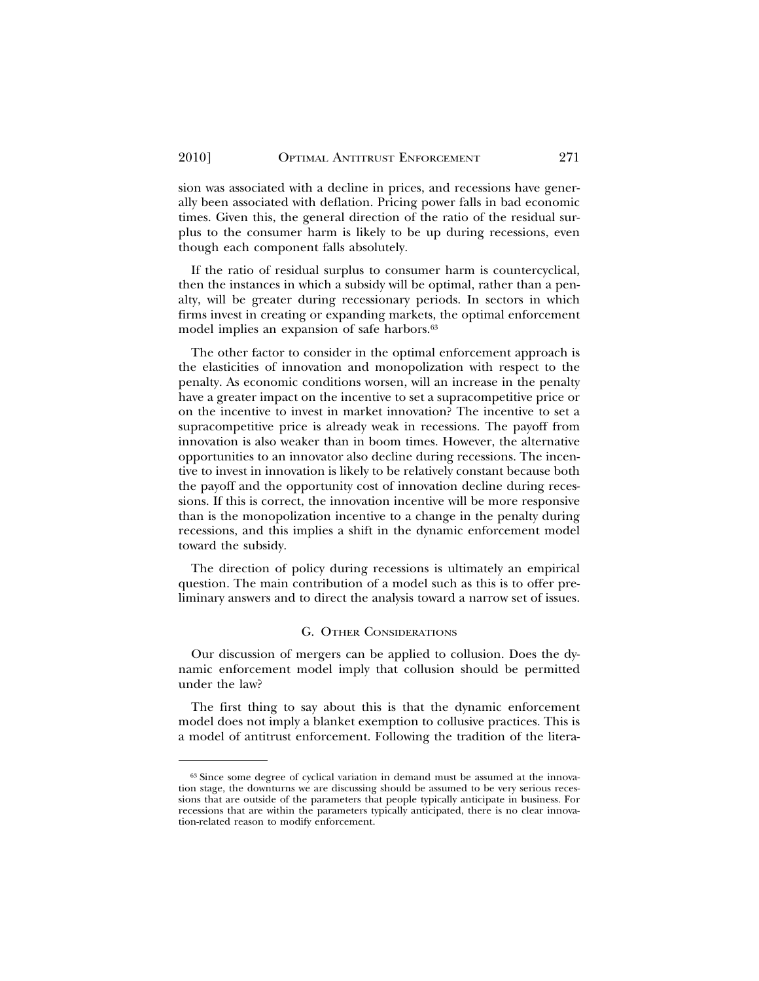sion was associated with a decline in prices, and recessions have generally been associated with deflation. Pricing power falls in bad economic times. Given this, the general direction of the ratio of the residual surplus to the consumer harm is likely to be up during recessions, even though each component falls absolutely.

If the ratio of residual surplus to consumer harm is countercyclical, then the instances in which a subsidy will be optimal, rather than a penalty, will be greater during recessionary periods. In sectors in which firms invest in creating or expanding markets, the optimal enforcement model implies an expansion of safe harbors.<sup>63</sup>

The other factor to consider in the optimal enforcement approach is the elasticities of innovation and monopolization with respect to the penalty. As economic conditions worsen, will an increase in the penalty have a greater impact on the incentive to set a supracompetitive price or on the incentive to invest in market innovation? The incentive to set a supracompetitive price is already weak in recessions. The payoff from innovation is also weaker than in boom times. However, the alternative opportunities to an innovator also decline during recessions. The incentive to invest in innovation is likely to be relatively constant because both the payoff and the opportunity cost of innovation decline during recessions. If this is correct, the innovation incentive will be more responsive than is the monopolization incentive to a change in the penalty during recessions, and this implies a shift in the dynamic enforcement model toward the subsidy.

The direction of policy during recessions is ultimately an empirical question. The main contribution of a model such as this is to offer preliminary answers and to direct the analysis toward a narrow set of issues.

#### G. OTHER CONSIDERATIONS

Our discussion of mergers can be applied to collusion. Does the dynamic enforcement model imply that collusion should be permitted under the law?

The first thing to say about this is that the dynamic enforcement model does not imply a blanket exemption to collusive practices. This is a model of antitrust enforcement. Following the tradition of the litera-

<sup>63</sup> Since some degree of cyclical variation in demand must be assumed at the innovation stage, the downturns we are discussing should be assumed to be very serious recessions that are outside of the parameters that people typically anticipate in business. For recessions that are within the parameters typically anticipated, there is no clear innovation-related reason to modify enforcement.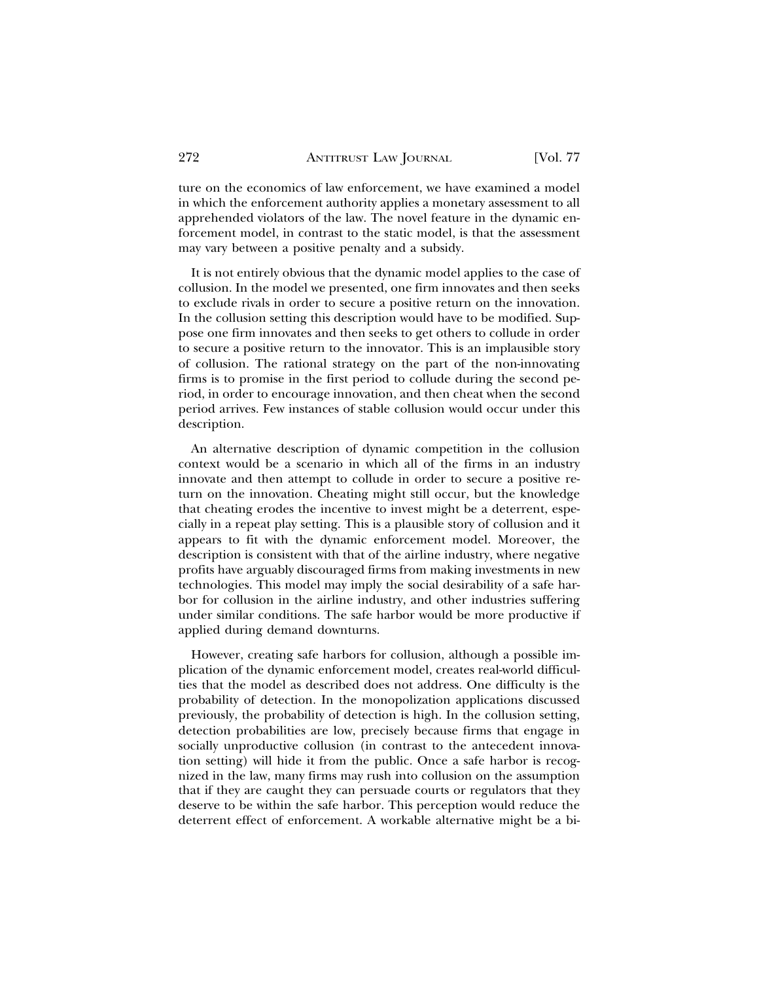ture on the economics of law enforcement, we have examined a model in which the enforcement authority applies a monetary assessment to all apprehended violators of the law. The novel feature in the dynamic enforcement model, in contrast to the static model, is that the assessment may vary between a positive penalty and a subsidy.

It is not entirely obvious that the dynamic model applies to the case of collusion. In the model we presented, one firm innovates and then seeks to exclude rivals in order to secure a positive return on the innovation. In the collusion setting this description would have to be modified. Suppose one firm innovates and then seeks to get others to collude in order to secure a positive return to the innovator. This is an implausible story of collusion. The rational strategy on the part of the non-innovating firms is to promise in the first period to collude during the second period, in order to encourage innovation, and then cheat when the second period arrives. Few instances of stable collusion would occur under this description.

An alternative description of dynamic competition in the collusion context would be a scenario in which all of the firms in an industry innovate and then attempt to collude in order to secure a positive return on the innovation. Cheating might still occur, but the knowledge that cheating erodes the incentive to invest might be a deterrent, especially in a repeat play setting. This is a plausible story of collusion and it appears to fit with the dynamic enforcement model. Moreover, the description is consistent with that of the airline industry, where negative profits have arguably discouraged firms from making investments in new technologies. This model may imply the social desirability of a safe harbor for collusion in the airline industry, and other industries suffering under similar conditions. The safe harbor would be more productive if applied during demand downturns.

However, creating safe harbors for collusion, although a possible implication of the dynamic enforcement model, creates real-world difficulties that the model as described does not address. One difficulty is the probability of detection. In the monopolization applications discussed previously, the probability of detection is high. In the collusion setting, detection probabilities are low, precisely because firms that engage in socially unproductive collusion (in contrast to the antecedent innovation setting) will hide it from the public. Once a safe harbor is recognized in the law, many firms may rush into collusion on the assumption that if they are caught they can persuade courts or regulators that they deserve to be within the safe harbor. This perception would reduce the deterrent effect of enforcement. A workable alternative might be a bi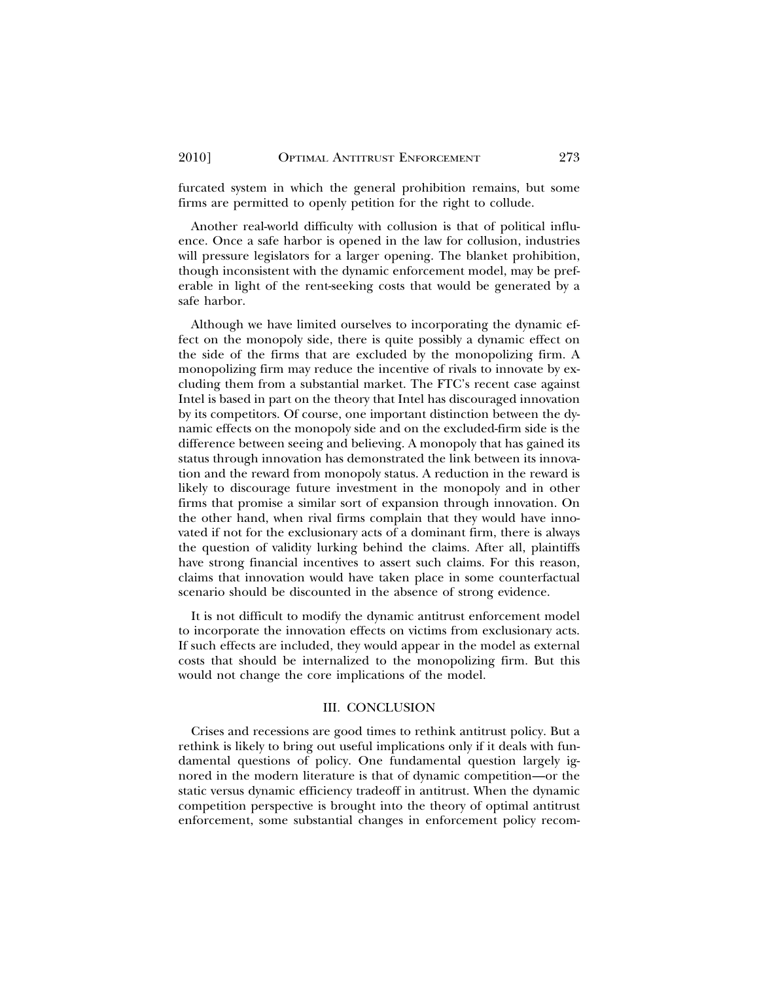furcated system in which the general prohibition remains, but some firms are permitted to openly petition for the right to collude.

Another real-world difficulty with collusion is that of political influence. Once a safe harbor is opened in the law for collusion, industries will pressure legislators for a larger opening. The blanket prohibition, though inconsistent with the dynamic enforcement model, may be preferable in light of the rent-seeking costs that would be generated by a safe harbor.

Although we have limited ourselves to incorporating the dynamic effect on the monopoly side, there is quite possibly a dynamic effect on the side of the firms that are excluded by the monopolizing firm. A monopolizing firm may reduce the incentive of rivals to innovate by excluding them from a substantial market. The FTC's recent case against Intel is based in part on the theory that Intel has discouraged innovation by its competitors. Of course, one important distinction between the dynamic effects on the monopoly side and on the excluded-firm side is the difference between seeing and believing. A monopoly that has gained its status through innovation has demonstrated the link between its innovation and the reward from monopoly status. A reduction in the reward is likely to discourage future investment in the monopoly and in other firms that promise a similar sort of expansion through innovation. On the other hand, when rival firms complain that they would have innovated if not for the exclusionary acts of a dominant firm, there is always the question of validity lurking behind the claims. After all, plaintiffs have strong financial incentives to assert such claims. For this reason, claims that innovation would have taken place in some counterfactual scenario should be discounted in the absence of strong evidence.

It is not difficult to modify the dynamic antitrust enforcement model to incorporate the innovation effects on victims from exclusionary acts. If such effects are included, they would appear in the model as external costs that should be internalized to the monopolizing firm. But this would not change the core implications of the model.

#### III. CONCLUSION

Crises and recessions are good times to rethink antitrust policy. But a rethink is likely to bring out useful implications only if it deals with fundamental questions of policy. One fundamental question largely ignored in the modern literature is that of dynamic competition—or the static versus dynamic efficiency tradeoff in antitrust. When the dynamic competition perspective is brought into the theory of optimal antitrust enforcement, some substantial changes in enforcement policy recom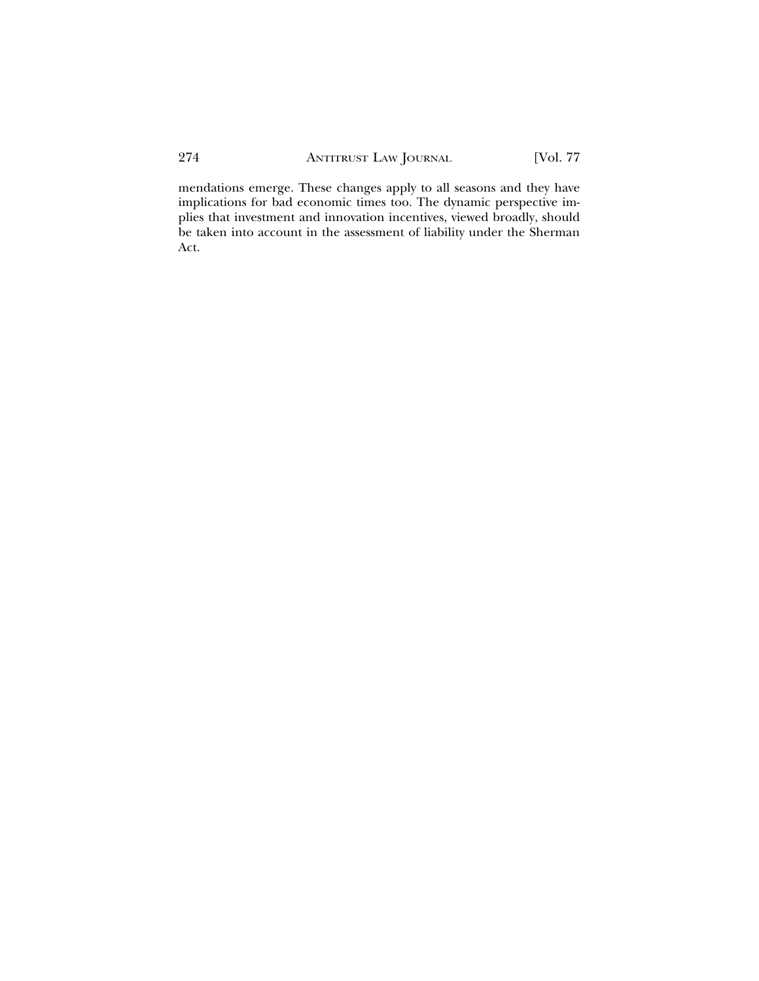mendations emerge. These changes apply to all seasons and they have implications for bad economic times too. The dynamic perspective implies that investment and innovation incentives, viewed broadly, should be taken into account in the assessment of liability under the Sherman Act.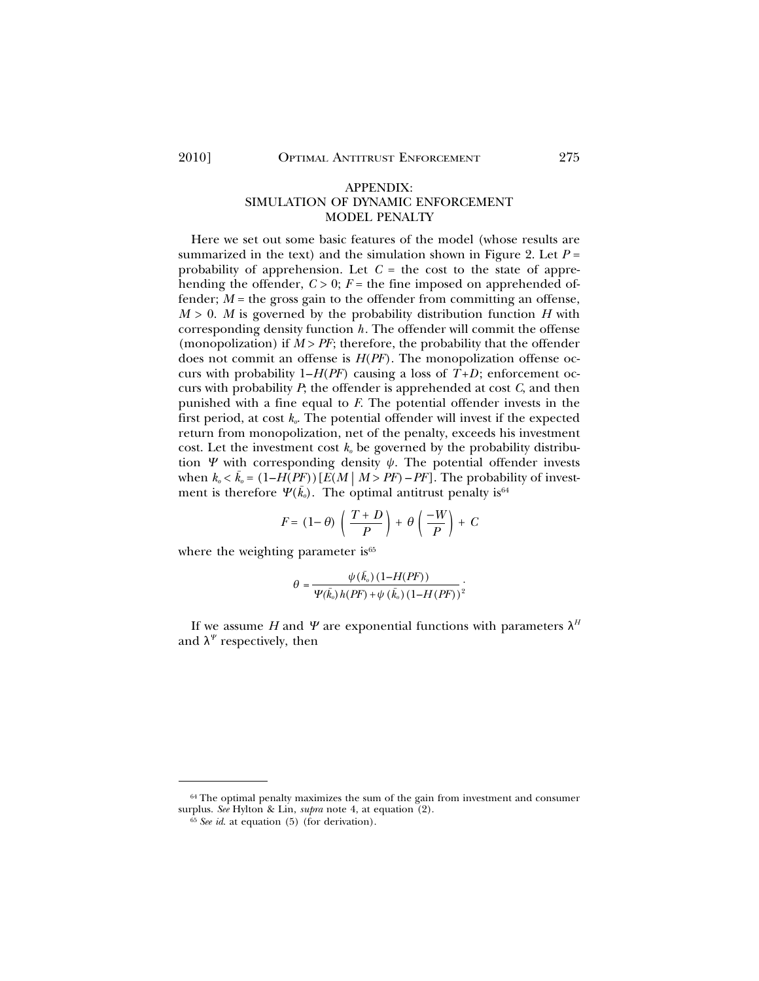#### APPENDIX: SIMULATION OF DYNAMIC ENFORCEMENT MODEL PENALTY

Here we set out some basic features of the model (whose results are summarized in the text) and the simulation shown in Figure 2. Let  $P =$ probability of apprehension. Let  $C =$  the cost to the state of apprehending the offender,  $C > 0$ ;  $F =$  the fine imposed on apprehended offender;  $M =$  the gross gain to the offender from committing an offense,  $M > 0$ . *M* is governed by the probability distribution function *H* with corresponding density function *h*. The offender will commit the offense (monopolization) if  $M > PF$ ; therefore, the probability that the offender does not commit an offense is *H*(*PF*). The monopolization offense occurs with probability  $1-H(PF)$  causing a loss of  $T+D$ ; enforcement occurs with probability *P*; the offender is apprehended at cost *C*, and then punished with a fine equal to *F*. The potential offender invests in the first period, at cost  $k_{\alpha}$ . The potential offender will invest if the expected return from monopolization, net of the penalty, exceeds his investment cost. Let the investment cost  $k_0$  be governed by the probability distribution  $\Psi$  with corresponding density  $\psi$ . The potential offender invests when  $k_o < \bar{k}_o = (1 - H(PF)) [E(M | M > PF) - PF]$ . The probability of investment is therefore  $\Psi(\bar{k_{o}})$ . The optimal antitrust penalty is  $^{64}$ 

$$
F = (1 - \theta) \left( \frac{T + D}{P} \right) + \theta \left( \frac{-W}{P} \right) + C
$$

where the weighting parameter is<sup>65</sup>

$$
\theta = \frac{\psi(\bar{k}_o) \left(1 - H(PF)\right)}{\Psi(\bar{k}_o) h(PF) + \psi(\bar{k}_o) \left(1 - H(PF)\right)^2}
$$

If we assume *H* and *Y* are exponential functions with parameters  $\lambda^H$ and  $\lambda^{\Psi}$  respectively, then

<sup>64</sup> The optimal penalty maximizes the sum of the gain from investment and consumer surplus. *See* Hylton & Lin, *supra* note 4, at equation (2).

<sup>65</sup> *See id*. at equation (5) (for derivation).